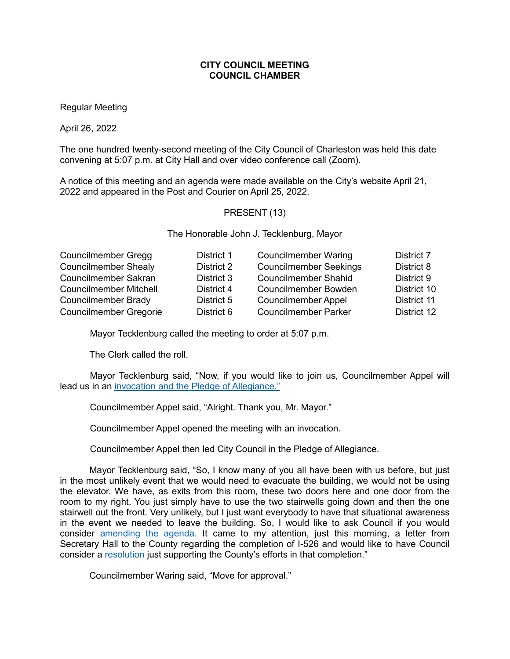# **CITY COUNCIL MEETING COUNCIL CHAMBER**

Regular Meeting

April 26, 2022

The one hundred twenty-second meeting of the City Council of Charleston was held this date convening at 5:07 p.m. at City Hall and over video conference call (Zoom).

A notice of this meeting and an agenda were made available on the City's website April 21, 2022 and appeared in the Post and Courier on April 25, 2022.

## PRESENT (13)

The Honorable John J. Tecklenburg, Mayor

| <b>Councilmember Gregg</b>    | District 1 | <b>Councilmember Waring</b>   | District 7  |
|-------------------------------|------------|-------------------------------|-------------|
| <b>Councilmember Shealy</b>   | District 2 | <b>Councilmember Seekings</b> | District 8  |
| <b>Councilmember Sakran</b>   | District 3 | <b>Councilmember Shahid</b>   | District 9  |
| <b>Councilmember Mitchell</b> | District 4 | <b>Councilmember Bowden</b>   | District 10 |
| Councilmember Brady           | District 5 | <b>Councilmember Appel</b>    | District 11 |
| <b>Councilmember Gregorie</b> | District 6 | <b>Councilmember Parker</b>   | District 12 |

Mayor Tecklenburg called the meeting to order at 5:07 p.m.

The Clerk called the roll.

Mayor Tecklenburg said, "Now, if you would like to join us, Councilmember Appel will lead us in an invocation and the Pledge [of Allegiance."](https://youtu.be/iZmTRv8HbBI?t=79)

Councilmember Appel said, "Alright. Thank you, Mr. Mayor."

Councilmember Appel opened the meeting with an invocation.

Councilmember Appel then led City Council in the Pledge of Allegiance.

Mayor Tecklenburg said, "So, I know many of you all have been with us before, but just in the most unlikely event that we would need to evacuate the building, we would not be using the elevator. We have, as exits from this room, these two doors here and one door from the room to my right. You just simply have to use the two stairwells going down and then the one stairwell out the front. Very unlikely, but I just want everybody to have that situational awareness in the event we needed to leave the building. So, I would like to ask Council if you would consider [amending the agenda.](https://youtu.be/iZmTRv8HbBI?t=235) It came to my attention, just this morning, a letter from Secretary Hall to the County regarding the completion of I-526 and would like to have Council consider a [resolution](https://youtu.be/iZmTRv8HbBI?t=251) just supporting the County's efforts in that completion."

Councilmember Waring said, "Move for approval."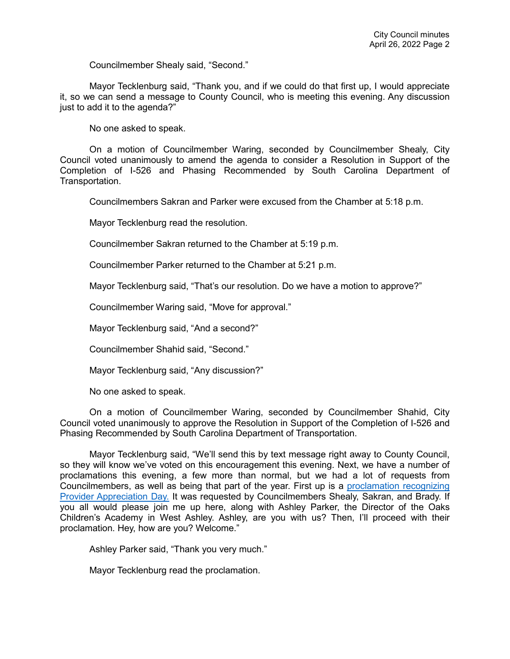Councilmember Shealy said, "Second."

Mayor Tecklenburg said, "Thank you, and if we could do that first up, I would appreciate it, so we can send a message to County Council, who is meeting this evening. Any discussion just to add it to the agenda?"

No one asked to speak.

On a motion of Councilmember Waring, seconded by Councilmember Shealy, City Council voted unanimously to amend the agenda to consider a Resolution in Support of the Completion of I-526 and Phasing Recommended by South Carolina Department of Transportation.

Councilmembers Sakran and Parker were excused from the Chamber at 5:18 p.m.

Mayor Tecklenburg read the resolution.

Councilmember Sakran returned to the Chamber at 5:19 p.m.

Councilmember Parker returned to the Chamber at 5:21 p.m.

Mayor Tecklenburg said, "That's our resolution. Do we have a motion to approve?"

Councilmember Waring said, "Move for approval."

Mayor Tecklenburg said, "And a second?"

Councilmember Shahid said, "Second."

Mayor Tecklenburg said, "Any discussion?"

No one asked to speak.

On a motion of Councilmember Waring, seconded by Councilmember Shahid, City Council voted unanimously to approve the Resolution in Support of the Completion of I-526 and Phasing Recommended by South Carolina Department of Transportation.

Mayor Tecklenburg said, "We'll send this by text message right away to County Council, so they will know we've voted on this encouragement this evening. Next, we have a number of proclamations this evening, a few more than normal, but we had a lot of requests from Councilmembers, as well as being that part of the year. First up is a [proclamation recognizing](https://youtu.be/iZmTRv8HbBI?t=385)  [Provider Appreciation Day.](https://youtu.be/iZmTRv8HbBI?t=385) It was requested by Councilmembers Shealy, Sakran, and Brady. If you all would please join me up here, along with Ashley Parker, the Director of the Oaks Children's Academy in West Ashley. Ashley, are you with us? Then, I'll proceed with their proclamation. Hey, how are you? Welcome."

Ashley Parker said, "Thank you very much."

Mayor Tecklenburg read the proclamation.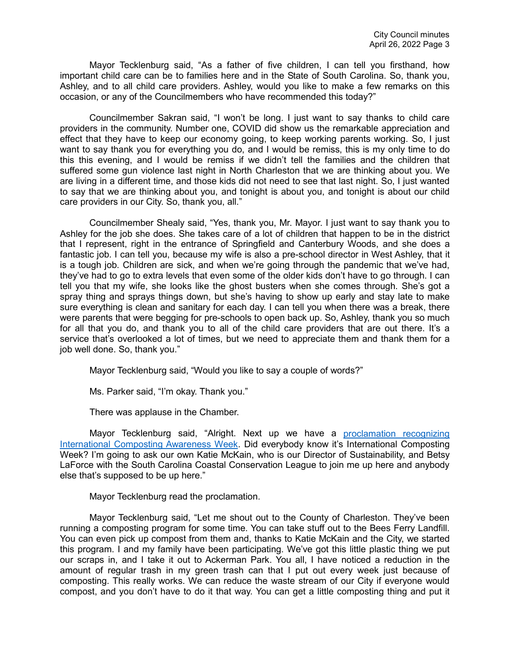Mayor Tecklenburg said, "As a father of five children, I can tell you firsthand, how important child care can be to families here and in the State of South Carolina. So, thank you, Ashley, and to all child care providers. Ashley, would you like to make a few remarks on this occasion, or any of the Councilmembers who have recommended this today?"

Councilmember Sakran said, "I won't be long. I just want to say thanks to child care providers in the community. Number one, COVID did show us the remarkable appreciation and effect that they have to keep our economy going, to keep working parents working. So, I just want to say thank you for everything you do, and I would be remiss, this is my only time to do this this evening, and I would be remiss if we didn't tell the families and the children that suffered some gun violence last night in North Charleston that we are thinking about you. We are living in a different time, and those kids did not need to see that last night. So, I just wanted to say that we are thinking about you, and tonight is about you, and tonight is about our child care providers in our City. So, thank you, all."

Councilmember Shealy said, "Yes, thank you, Mr. Mayor. I just want to say thank you to Ashley for the job she does. She takes care of a lot of children that happen to be in the district that I represent, right in the entrance of Springfield and Canterbury Woods, and she does a fantastic job. I can tell you, because my wife is also a pre-school director in West Ashley, that it is a tough job. Children are sick, and when we're going through the pandemic that we've had, they've had to go to extra levels that even some of the older kids don't have to go through. I can tell you that my wife, she looks like the ghost busters when she comes through. She's got a spray thing and sprays things down, but she's having to show up early and stay late to make sure everything is clean and sanitary for each day. I can tell you when there was a break, there were parents that were begging for pre-schools to open back up. So, Ashley, thank you so much for all that you do, and thank you to all of the child care providers that are out there. It's a service that's overlooked a lot of times, but we need to appreciate them and thank them for a job well done. So, thank you."

Mayor Tecklenburg said, "Would you like to say a couple of words?"

Ms. Parker said, "I'm okay. Thank you."

There was applause in the Chamber.

Mayor Tecklenburg said, "Alright. Next up we have a proclamation recognizing [International Composting Awareness Week.](https://youtu.be/iZmTRv8HbBI?t=664) Did everybody know it's International Composting Week? I'm going to ask our own Katie McKain, who is our Director of Sustainability, and Betsy LaForce with the South Carolina Coastal Conservation League to join me up here and anybody else that's supposed to be up here."

Mayor Tecklenburg read the proclamation.

Mayor Tecklenburg said, "Let me shout out to the County of Charleston. They've been running a composting program for some time. You can take stuff out to the Bees Ferry Landfill. You can even pick up compost from them and, thanks to Katie McKain and the City, we started this program. I and my family have been participating. We've got this little plastic thing we put our scraps in, and I take it out to Ackerman Park. You all, I have noticed a reduction in the amount of regular trash in my green trash can that I put out every week just because of composting. This really works. We can reduce the waste stream of our City if everyone would compost, and you don't have to do it that way. You can get a little composting thing and put it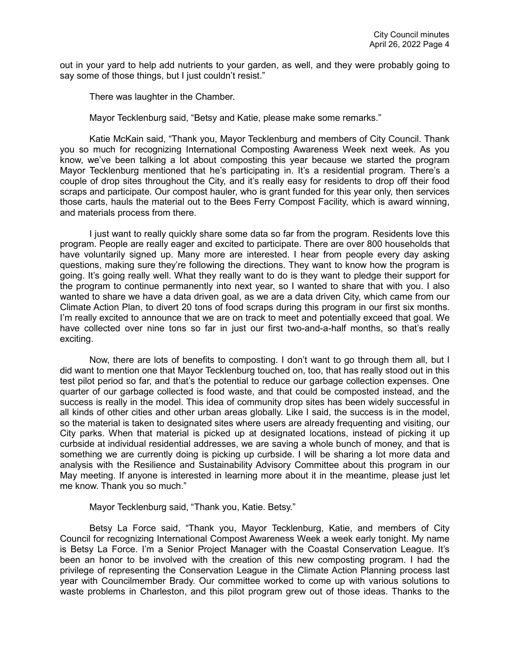out in your yard to help add nutrients to your garden, as well, and they were probably going to say some of those things, but I just couldn't resist."

There was laughter in the Chamber.

Mayor Tecklenburg said, "Betsy and Katie, please make some remarks."

Katie McKain said, "Thank you, Mayor Tecklenburg and members of City Council. Thank you so much for recognizing International Composting Awareness Week next week. As you know, we've been talking a lot about composting this year because we started the program Mayor Tecklenburg mentioned that he's participating in. It's a residential program. There's a couple of drop sites throughout the City, and it's really easy for residents to drop off their food scraps and participate. Our compost hauler, who is grant funded for this year only, then services those carts, hauls the material out to the Bees Ferry Compost Facility, which is award winning, and materials process from there.

I just want to really quickly share some data so far from the program. Residents love this program. People are really eager and excited to participate. There are over 800 households that have voluntarily signed up. Many more are interested. I hear from people every day asking questions, making sure they're following the directions. They want to know how the program is going. It's going really well. What they really want to do is they want to pledge their support for the program to continue permanently into next year, so I wanted to share that with you. I also wanted to share we have a data driven goal, as we are a data driven City, which came from our Climate Action Plan, to divert 20 tons of food scraps during this program in our first six months. I'm really excited to announce that we are on track to meet and potentially exceed that goal. We have collected over nine tons so far in just our first two-and-a-half months, so that's really exciting.

Now, there are lots of benefits to composting. I don't want to go through them all, but I did want to mention one that Mayor Tecklenburg touched on, too, that has really stood out in this test pilot period so far, and that's the potential to reduce our garbage collection expenses. One quarter of our garbage collected is food waste, and that could be composted instead, and the success is really in the model. This idea of community drop sites has been widely successful in all kinds of other cities and other urban areas globally. Like I said, the success is in the model, so the material is taken to designated sites where users are already frequenting and visiting, our City parks. When that material is picked up at designated locations, instead of picking it up curbside at individual residential addresses, we are saving a whole bunch of money, and that is something we are currently doing is picking up curbside. I will be sharing a lot more data and analysis with the Resilience and Sustainability Advisory Committee about this program in our May meeting. If anyone is interested in learning more about it in the meantime, please just let me know. Thank you so much."

### Mayor Tecklenburg said, "Thank you, Katie. Betsy."

Betsy La Force said, "Thank you, Mayor Tecklenburg, Katie, and members of City Council for recognizing International Compost Awareness Week a week early tonight. My name is Betsy La Force. I'm a Senior Project Manager with the Coastal Conservation League. It's been an honor to be involved with the creation of this new composting program. I had the privilege of representing the Conservation League in the Climate Action Planning process last year with Councilmember Brady. Our committee worked to come up with various solutions to waste problems in Charleston, and this pilot program grew out of those ideas. Thanks to the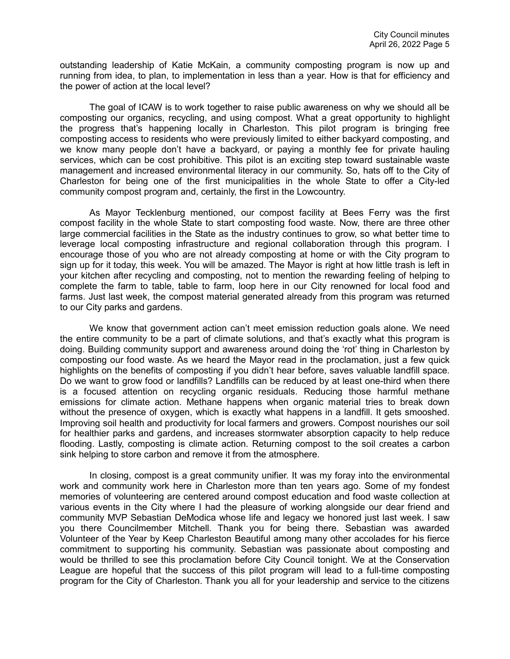outstanding leadership of Katie McKain, a community composting program is now up and running from idea, to plan, to implementation in less than a year. How is that for efficiency and the power of action at the local level?

The goal of ICAW is to work together to raise public awareness on why we should all be composting our organics, recycling, and using compost. What a great opportunity to highlight the progress that's happening locally in Charleston. This pilot program is bringing free composting access to residents who were previously limited to either backyard composting, and we know many people don't have a backyard, or paying a monthly fee for private hauling services, which can be cost prohibitive. This pilot is an exciting step toward sustainable waste management and increased environmental literacy in our community. So, hats off to the City of Charleston for being one of the first municipalities in the whole State to offer a City-led community compost program and, certainly, the first in the Lowcountry.

As Mayor Tecklenburg mentioned, our compost facility at Bees Ferry was the first compost facility in the whole State to start composting food waste. Now, there are three other large commercial facilities in the State as the industry continues to grow, so what better time to leverage local composting infrastructure and regional collaboration through this program. I encourage those of you who are not already composting at home or with the City program to sign up for it today, this week. You will be amazed. The Mayor is right at how little trash is left in your kitchen after recycling and composting, not to mention the rewarding feeling of helping to complete the farm to table, table to farm, loop here in our City renowned for local food and farms. Just last week, the compost material generated already from this program was returned to our City parks and gardens.

We know that government action can't meet emission reduction goals alone. We need the entire community to be a part of climate solutions, and that's exactly what this program is doing. Building community support and awareness around doing the 'rot' thing in Charleston by composting our food waste. As we heard the Mayor read in the proclamation, just a few quick highlights on the benefits of composting if you didn't hear before, saves valuable landfill space. Do we want to grow food or landfills? Landfills can be reduced by at least one-third when there is a focused attention on recycling organic residuals. Reducing those harmful methane emissions for climate action. Methane happens when organic material tries to break down without the presence of oxygen, which is exactly what happens in a landfill. It gets smooshed. Improving soil health and productivity for local farmers and growers. Compost nourishes our soil for healthier parks and gardens, and increases stormwater absorption capacity to help reduce flooding. Lastly, composting is climate action. Returning compost to the soil creates a carbon sink helping to store carbon and remove it from the atmosphere.

In closing, compost is a great community unifier. It was my foray into the environmental work and community work here in Charleston more than ten years ago. Some of my fondest memories of volunteering are centered around compost education and food waste collection at various events in the City where I had the pleasure of working alongside our dear friend and community MVP Sebastian DeModica whose life and legacy we honored just last week. I saw you there Councilmember Mitchell. Thank you for being there. Sebastian was awarded Volunteer of the Year by Keep Charleston Beautiful among many other accolades for his fierce commitment to supporting his community. Sebastian was passionate about composting and would be thrilled to see this proclamation before City Council tonight. We at the Conservation League are hopeful that the success of this pilot program will lead to a full-time composting program for the City of Charleston. Thank you all for your leadership and service to the citizens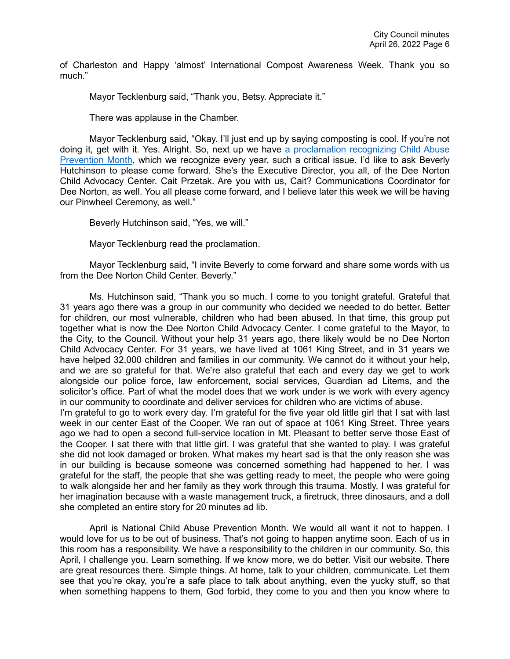of Charleston and Happy 'almost' International Compost Awareness Week. Thank you so much."

Mayor Tecklenburg said, "Thank you, Betsy. Appreciate it."

There was applause in the Chamber.

Mayor Tecklenburg said, "Okay. I'll just end up by saying composting is cool. If you're not doing it, get with it. Yes. Alright. So, next up we have [a proclamation recognizing Child Abuse](https://youtu.be/iZmTRv8HbBI?t=1348)  [Prevention Month,](https://youtu.be/iZmTRv8HbBI?t=1348) which we recognize every year, such a critical issue. I'd like to ask Beverly Hutchinson to please come forward. She's the Executive Director, you all, of the Dee Norton Child Advocacy Center. Cait Przetak. Are you with us, Cait? Communications Coordinator for Dee Norton, as well. You all please come forward, and I believe later this week we will be having our Pinwheel Ceremony, as well."

Beverly Hutchinson said, "Yes, we will."

Mayor Tecklenburg read the proclamation.

Mayor Tecklenburg said, "I invite Beverly to come forward and share some words with us from the Dee Norton Child Center. Beverly."

Ms. Hutchinson said, "Thank you so much. I come to you tonight grateful. Grateful that 31 years ago there was a group in our community who decided we needed to do better. Better for children, our most vulnerable, children who had been abused. In that time, this group put together what is now the Dee Norton Child Advocacy Center. I come grateful to the Mayor, to the City, to the Council. Without your help 31 years ago, there likely would be no Dee Norton Child Advocacy Center. For 31 years, we have lived at 1061 King Street, and in 31 years we have helped 32,000 children and families in our community. We cannot do it without your help, and we are so grateful for that. We're also grateful that each and every day we get to work alongside our police force, law enforcement, social services, Guardian ad Litems, and the solicitor's office. Part of what the model does that we work under is we work with every agency in our community to coordinate and deliver services for children who are victims of abuse.

I'm grateful to go to work every day. I'm grateful for the five year old little girl that I sat with last week in our center East of the Cooper. We ran out of space at 1061 King Street. Three years ago we had to open a second full-service location in Mt. Pleasant to better serve those East of the Cooper. I sat there with that little girl. I was grateful that she wanted to play. I was grateful she did not look damaged or broken. What makes my heart sad is that the only reason she was in our building is because someone was concerned something had happened to her. I was grateful for the staff, the people that she was getting ready to meet, the people who were going to walk alongside her and her family as they work through this trauma. Mostly, I was grateful for her imagination because with a waste management truck, a firetruck, three dinosaurs, and a doll she completed an entire story for 20 minutes ad lib.

April is National Child Abuse Prevention Month. We would all want it not to happen. I would love for us to be out of business. That's not going to happen anytime soon. Each of us in this room has a responsibility. We have a responsibility to the children in our community. So, this April, I challenge you. Learn something. If we know more, we do better. Visit our website. There are great resources there. Simple things. At home, talk to your children, communicate. Let them see that you're okay, you're a safe place to talk about anything, even the yucky stuff, so that when something happens to them, God forbid, they come to you and then you know where to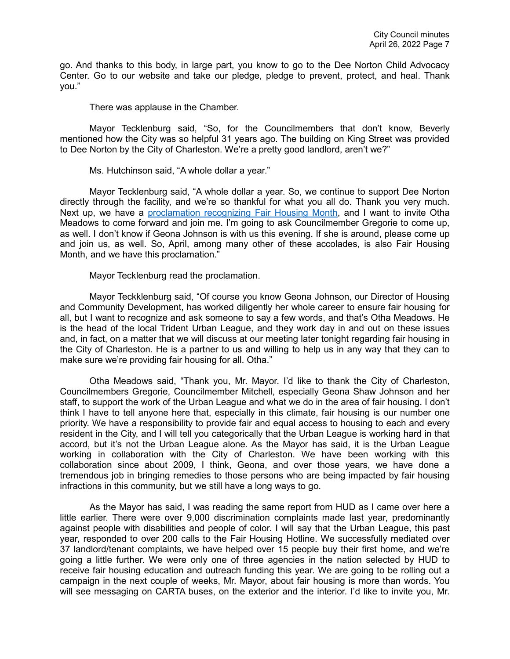go. And thanks to this body, in large part, you know to go to the Dee Norton Child Advocacy Center. Go to our website and take our pledge, pledge to prevent, protect, and heal. Thank you."

There was applause in the Chamber.

Mayor Tecklenburg said, "So, for the Councilmembers that don't know, Beverly mentioned how the City was so helpful 31 years ago. The building on King Street was provided to Dee Norton by the City of Charleston. We're a pretty good landlord, aren't we?"

Ms. Hutchinson said, "A whole dollar a year."

Mayor Tecklenburg said, "A whole dollar a year. So, we continue to support Dee Norton directly through the facility, and we're so thankful for what you all do. Thank you very much. Next up, we have a [proclamation recognizing Fair Housing Month,](https://youtu.be/iZmTRv8HbBI?t=1741) and I want to invite Otha Meadows to come forward and join me. I'm going to ask Councilmember Gregorie to come up, as well. I don't know if Geona Johnson is with us this evening. If she is around, please come up and join us, as well. So, April, among many other of these accolades, is also Fair Housing Month, and we have this proclamation."

Mayor Tecklenburg read the proclamation.

Mayor Teckklenburg said, "Of course you know Geona Johnson, our Director of Housing and Community Development, has worked diligently her whole career to ensure fair housing for all, but I want to recognize and ask someone to say a few words, and that's Otha Meadows. He is the head of the local Trident Urban League, and they work day in and out on these issues and, in fact, on a matter that we will discuss at our meeting later tonight regarding fair housing in the City of Charleston. He is a partner to us and willing to help us in any way that they can to make sure we're providing fair housing for all. Otha."

Otha Meadows said, "Thank you, Mr. Mayor. I'd like to thank the City of Charleston, Councilmembers Gregorie, Councilmember Mitchell, especially Geona Shaw Johnson and her staff, to support the work of the Urban League and what we do in the area of fair housing. I don't think I have to tell anyone here that, especially in this climate, fair housing is our number one priority. We have a responsibility to provide fair and equal access to housing to each and every resident in the City, and I will tell you categorically that the Urban League is working hard in that accord, but it's not the Urban League alone. As the Mayor has said, it is the Urban League working in collaboration with the City of Charleston. We have been working with this collaboration since about 2009, I think, Geona, and over those years, we have done a tremendous job in bringing remedies to those persons who are being impacted by fair housing infractions in this community, but we still have a long ways to go.

As the Mayor has said, I was reading the same report from HUD as I came over here a little earlier. There were over 9,000 discrimination complaints made last year, predominantly against people with disabilities and people of color. I will say that the Urban League, this past year, responded to over 200 calls to the Fair Housing Hotline. We successfully mediated over 37 landlord/tenant complaints, we have helped over 15 people buy their first home, and we're going a little further. We were only one of three agencies in the nation selected by HUD to receive fair housing education and outreach funding this year. We are going to be rolling out a campaign in the next couple of weeks, Mr. Mayor, about fair housing is more than words. You will see messaging on CARTA buses, on the exterior and the interior. I'd like to invite you, Mr.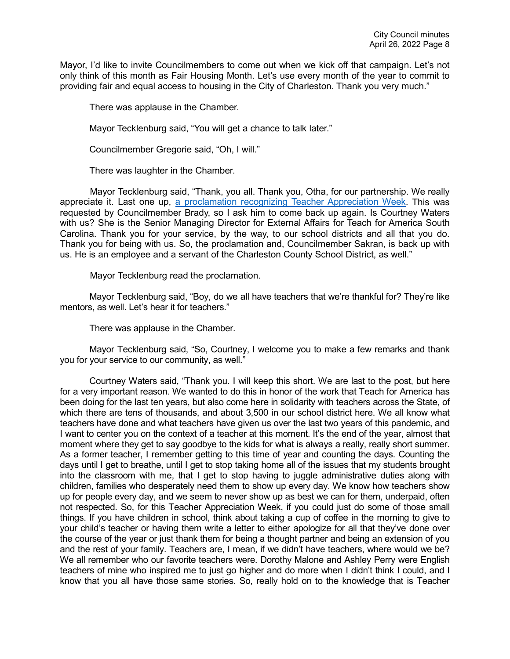Mayor, I'd like to invite Councilmembers to come out when we kick off that campaign. Let's not only think of this month as Fair Housing Month. Let's use every month of the year to commit to providing fair and equal access to housing in the City of Charleston. Thank you very much."

There was applause in the Chamber.

Mayor Tecklenburg said, "You will get a chance to talk later."

Councilmember Gregorie said, "Oh, I will."

There was laughter in the Chamber.

Mayor Tecklenburg said, "Thank, you all. Thank you, Otha, for our partnership. We really appreciate it. Last one up, a proclamation recognizing [Teacher Appreciation Week.](https://youtu.be/iZmTRv8HbBI?t=2105) This was requested by Councilmember Brady, so I ask him to come back up again. Is Courtney Waters with us? She is the Senior Managing Director for External Affairs for Teach for America South Carolina. Thank you for your service, by the way, to our school districts and all that you do. Thank you for being with us. So, the proclamation and, Councilmember Sakran, is back up with us. He is an employee and a servant of the Charleston County School District, as well."

Mayor Tecklenburg read the proclamation.

Mayor Tecklenburg said, "Boy, do we all have teachers that we're thankful for? They're like mentors, as well. Let's hear it for teachers."

There was applause in the Chamber.

Mayor Tecklenburg said, "So, Courtney, I welcome you to make a few remarks and thank you for your service to our community, as well."

Courtney Waters said, "Thank you. I will keep this short. We are last to the post, but here for a very important reason. We wanted to do this in honor of the work that Teach for America has been doing for the last ten years, but also come here in solidarity with teachers across the State, of which there are tens of thousands, and about 3,500 in our school district here. We all know what teachers have done and what teachers have given us over the last two years of this pandemic, and I want to center you on the context of a teacher at this moment. It's the end of the year, almost that moment where they get to say goodbye to the kids for what is always a really, really short summer. As a former teacher, I remember getting to this time of year and counting the days. Counting the days until I get to breathe, until I get to stop taking home all of the issues that my students brought into the classroom with me, that I get to stop having to juggle administrative duties along with children, families who desperately need them to show up every day. We know how teachers show up for people every day, and we seem to never show up as best we can for them, underpaid, often not respected. So, for this Teacher Appreciation Week, if you could just do some of those small things. If you have children in school, think about taking a cup of coffee in the morning to give to your child's teacher or having them write a letter to either apologize for all that they've done over the course of the year or just thank them for being a thought partner and being an extension of you and the rest of your family. Teachers are, I mean, if we didn't have teachers, where would we be? We all remember who our favorite teachers were. Dorothy Malone and Ashley Perry were English teachers of mine who inspired me to just go higher and do more when I didn't think I could, and I know that you all have those same stories. So, really hold on to the knowledge that is Teacher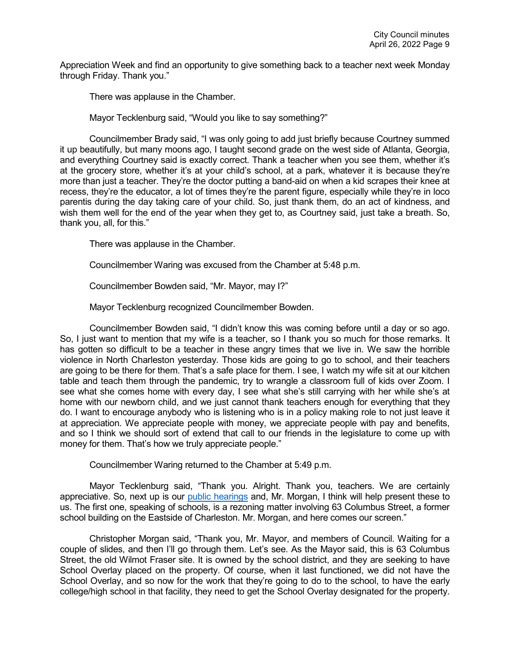Appreciation Week and find an opportunity to give something back to a teacher next week Monday through Friday. Thank you."

There was applause in the Chamber.

Mayor Tecklenburg said, "Would you like to say something?"

Councilmember Brady said, "I was only going to add just briefly because Courtney summed it up beautifully, but many moons ago, I taught second grade on the west side of Atlanta, Georgia, and everything Courtney said is exactly correct. Thank a teacher when you see them, whether it's at the grocery store, whether it's at your child's school, at a park, whatever it is because they're more than just a teacher. They're the doctor putting a band-aid on when a kid scrapes their knee at recess, they're the educator, a lot of times they're the parent figure, especially while they're in loco parentis during the day taking care of your child. So, just thank them, do an act of kindness, and wish them well for the end of the year when they get to, as Courtney said, just take a breath. So, thank you, all, for this."

There was applause in the Chamber.

Councilmember Waring was excused from the Chamber at 5:48 p.m.

Councilmember Bowden said, "Mr. Mayor, may I?"

Mayor Tecklenburg recognized Councilmember Bowden.

Councilmember Bowden said, "I didn't know this was coming before until a day or so ago. So, I just want to mention that my wife is a teacher, so I thank you so much for those remarks. It has gotten so difficult to be a teacher in these angry times that we live in. We saw the horrible violence in North Charleston yesterday. Those kids are going to go to school, and their teachers are going to be there for them. That's a safe place for them. I see, I watch my wife sit at our kitchen table and teach them through the pandemic, try to wrangle a classroom full of kids over Zoom. I see what she comes home with every day, I see what she's still carrying with her while she's at home with our newborn child, and we just cannot thank teachers enough for everything that they do. I want to encourage anybody who is listening who is in a policy making role to not just leave it at appreciation. We appreciate people with money, we appreciate people with pay and benefits, and so I think we should sort of extend that call to our friends in the legislature to come up with money for them. That's how we truly appreciate people."

Councilmember Waring returned to the Chamber at 5:49 p.m.

Mayor Tecklenburg said, "Thank you. Alright. Thank you, teachers. We are certainly appreciative. So, next up is our [public hearings](https://youtu.be/iZmTRv8HbBI?t=2530) and, Mr. Morgan, I think will help present these to us. The first one, speaking of schools, is a rezoning matter involving 63 Columbus Street, a former school building on the Eastside of Charleston. Mr. Morgan, and here comes our screen."

Christopher Morgan said, "Thank you, Mr. Mayor, and members of Council. Waiting for a couple of slides, and then I'll go through them. Let's see. As the Mayor said, this is 63 Columbus Street, the old Wilmot Fraser site. It is owned by the school district, and they are seeking to have School Overlay placed on the property. Of course, when it last functioned, we did not have the School Overlay, and so now for the work that they're going to do to the school, to have the early college/high school in that facility, they need to get the School Overlay designated for the property.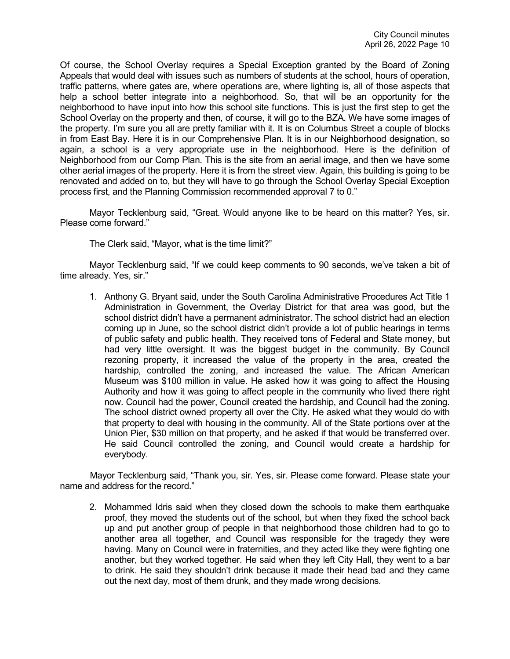Of course, the School Overlay requires a Special Exception granted by the Board of Zoning Appeals that would deal with issues such as numbers of students at the school, hours of operation, traffic patterns, where gates are, where operations are, where lighting is, all of those aspects that help a school better integrate into a neighborhood. So, that will be an opportunity for the neighborhood to have input into how this school site functions. This is just the first step to get the School Overlay on the property and then, of course, it will go to the BZA. We have some images of the property. I'm sure you all are pretty familiar with it. It is on Columbus Street a couple of blocks in from East Bay. Here it is in our Comprehensive Plan. It is in our Neighborhood designation, so again, a school is a very appropriate use in the neighborhood. Here is the definition of Neighborhood from our Comp Plan. This is the site from an aerial image, and then we have some other aerial images of the property. Here it is from the street view. Again, this building is going to be renovated and added on to, but they will have to go through the School Overlay Special Exception process first, and the Planning Commission recommended approval 7 to 0."

Mayor Tecklenburg said, "Great. Would anyone like to be heard on this matter? Yes, sir. Please come forward."

The Clerk said, "Mayor, what is the time limit?"

Mayor Tecklenburg said, "If we could keep comments to 90 seconds, we've taken a bit of time already. Yes, sir."

1. Anthony G. Bryant said, under the South Carolina Administrative Procedures Act Title 1 Administration in Government, the Overlay District for that area was good, but the school district didn't have a permanent administrator. The school district had an election coming up in June, so the school district didn't provide a lot of public hearings in terms of public safety and public health. They received tons of Federal and State money, but had very little oversight. It was the biggest budget in the community. By Council rezoning property, it increased the value of the property in the area, created the hardship, controlled the zoning, and increased the value. The African American Museum was \$100 million in value. He asked how it was going to affect the Housing Authority and how it was going to affect people in the community who lived there right now. Council had the power, Council created the hardship, and Council had the zoning. The school district owned property all over the City. He asked what they would do with that property to deal with housing in the community. All of the State portions over at the Union Pier, \$30 million on that property, and he asked if that would be transferred over. He said Council controlled the zoning, and Council would create a hardship for everybody.

Mayor Tecklenburg said, "Thank you, sir. Yes, sir. Please come forward. Please state your name and address for the record."

2. Mohammed Idris said when they closed down the schools to make them earthquake proof, they moved the students out of the school, but when they fixed the school back up and put another group of people in that neighborhood those children had to go to another area all together, and Council was responsible for the tragedy they were having. Many on Council were in fraternities, and they acted like they were fighting one another, but they worked together. He said when they left City Hall, they went to a bar to drink. He said they shouldn't drink because it made their head bad and they came out the next day, most of them drunk, and they made wrong decisions.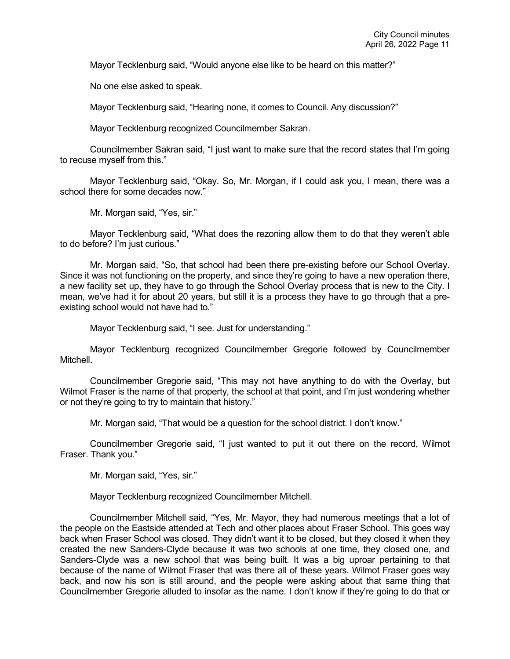Mayor Tecklenburg said, "Would anyone else like to be heard on this matter?"

No one else asked to speak.

Mayor Tecklenburg said, "Hearing none, it comes to Council. Any discussion?"

Mayor Tecklenburg recognized Councilmember Sakran.

Councilmember Sakran said, "I just want to make sure that the record states that I'm going to recuse myself from this."

Mayor Tecklenburg said, "Okay. So, Mr. Morgan, if I could ask you, I mean, there was a school there for some decades now."

Mr. Morgan said, "Yes, sir."

Mayor Tecklenburg said, "What does the rezoning allow them to do that they weren't able to do before? I'm just curious."

Mr. Morgan said, "So, that school had been there pre-existing before our School Overlay. Since it was not functioning on the property, and since they're going to have a new operation there, a new facility set up, they have to go through the School Overlay process that is new to the City. I mean, we've had it for about 20 years, but still it is a process they have to go through that a preexisting school would not have had to."

Mayor Tecklenburg said, "I see. Just for understanding."

Mayor Tecklenburg recognized Councilmember Gregorie followed by Councilmember Mitchell.

Councilmember Gregorie said, "This may not have anything to do with the Overlay, but Wilmot Fraser is the name of that property, the school at that point, and I'm just wondering whether or not they're going to try to maintain that history."

Mr. Morgan said, "That would be a question for the school district. I don't know."

Councilmember Gregorie said, "I just wanted to put it out there on the record, Wilmot Fraser. Thank you."

Mr. Morgan said, "Yes, sir."

Mayor Tecklenburg recognized Councilmember Mitchell.

Councilmember Mitchell said, "Yes, Mr. Mayor, they had numerous meetings that a lot of the people on the Eastside attended at Tech and other places about Fraser School. This goes way back when Fraser School was closed. They didn't want it to be closed, but they closed it when they created the new Sanders-Clyde because it was two schools at one time, they closed one, and Sanders-Clyde was a new school that was being built. It was a big uproar pertaining to that because of the name of Wilmot Fraser that was there all of these years. Wilmot Fraser goes way back, and now his son is still around, and the people were asking about that same thing that Councilmember Gregorie alluded to insofar as the name. I don't know if they're going to do that or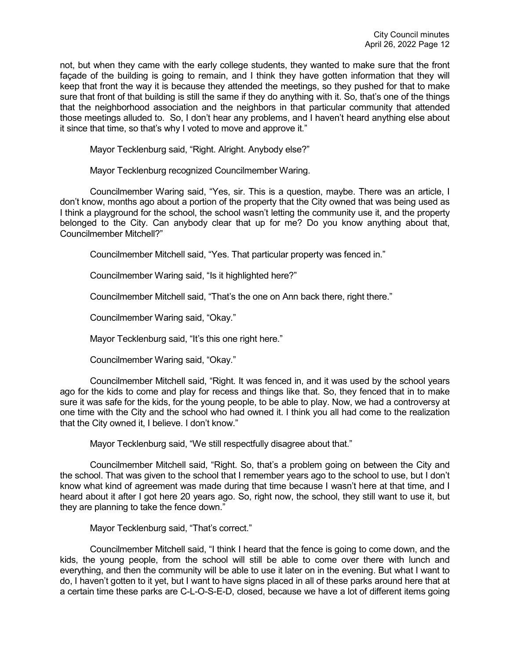not, but when they came with the early college students, they wanted to make sure that the front façade of the building is going to remain, and I think they have gotten information that they will keep that front the way it is because they attended the meetings, so they pushed for that to make sure that front of that building is still the same if they do anything with it. So, that's one of the things that the neighborhood association and the neighbors in that particular community that attended those meetings alluded to. So, I don't hear any problems, and I haven't heard anything else about it since that time, so that's why I voted to move and approve it."

Mayor Tecklenburg said, "Right. Alright. Anybody else?"

Mayor Tecklenburg recognized Councilmember Waring.

Councilmember Waring said, "Yes, sir. This is a question, maybe. There was an article, I don't know, months ago about a portion of the property that the City owned that was being used as I think a playground for the school, the school wasn't letting the community use it, and the property belonged to the City. Can anybody clear that up for me? Do you know anything about that, Councilmember Mitchell?"

Councilmember Mitchell said, "Yes. That particular property was fenced in."

Councilmember Waring said, "Is it highlighted here?"

Councilmember Mitchell said, "That's the one on Ann back there, right there."

Councilmember Waring said, "Okay."

Mayor Tecklenburg said, "It's this one right here."

Councilmember Waring said, "Okay."

Councilmember Mitchell said, "Right. It was fenced in, and it was used by the school years ago for the kids to come and play for recess and things like that. So, they fenced that in to make sure it was safe for the kids, for the young people, to be able to play. Now, we had a controversy at one time with the City and the school who had owned it. I think you all had come to the realization that the City owned it, I believe. I don't know."

Mayor Tecklenburg said, "We still respectfully disagree about that."

Councilmember Mitchell said, "Right. So, that's a problem going on between the City and the school. That was given to the school that I remember years ago to the school to use, but I don't know what kind of agreement was made during that time because I wasn't here at that time, and I heard about it after I got here 20 years ago. So, right now, the school, they still want to use it, but they are planning to take the fence down."

Mayor Tecklenburg said, "That's correct."

Councilmember Mitchell said, "I think I heard that the fence is going to come down, and the kids, the young people, from the school will still be able to come over there with lunch and everything, and then the community will be able to use it later on in the evening. But what I want to do, I haven't gotten to it yet, but I want to have signs placed in all of these parks around here that at a certain time these parks are C-L-O-S-E-D, closed, because we have a lot of different items going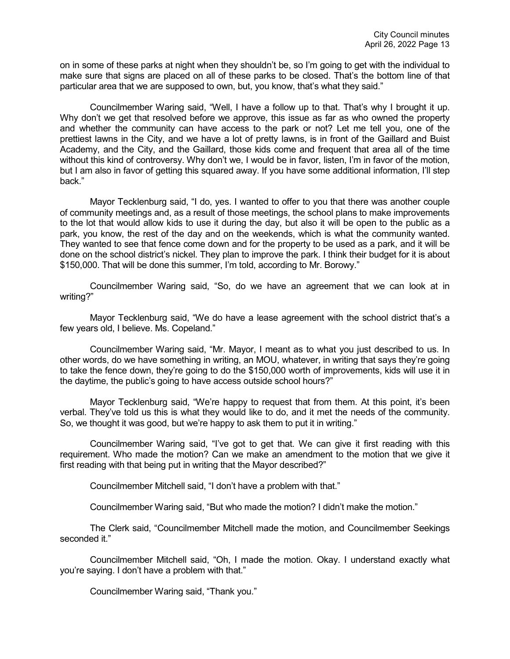on in some of these parks at night when they shouldn't be, so I'm going to get with the individual to make sure that signs are placed on all of these parks to be closed. That's the bottom line of that particular area that we are supposed to own, but, you know, that's what they said."

Councilmember Waring said, "Well, I have a follow up to that. That's why I brought it up. Why don't we get that resolved before we approve, this issue as far as who owned the property and whether the community can have access to the park or not? Let me tell you, one of the prettiest lawns in the City, and we have a lot of pretty lawns, is in front of the Gaillard and Buist Academy, and the City, and the Gaillard, those kids come and frequent that area all of the time without this kind of controversy. Why don't we, I would be in favor, listen, I'm in favor of the motion, but I am also in favor of getting this squared away. If you have some additional information, I'll step back."

Mayor Tecklenburg said, "I do, yes. I wanted to offer to you that there was another couple of community meetings and, as a result of those meetings, the school plans to make improvements to the lot that would allow kids to use it during the day, but also it will be open to the public as a park, you know, the rest of the day and on the weekends, which is what the community wanted. They wanted to see that fence come down and for the property to be used as a park, and it will be done on the school district's nickel. They plan to improve the park. I think their budget for it is about \$150,000. That will be done this summer, I'm told, according to Mr. Borowy."

Councilmember Waring said, "So, do we have an agreement that we can look at in writing?"

Mayor Tecklenburg said, "We do have a lease agreement with the school district that's a few years old, I believe. Ms. Copeland."

Councilmember Waring said, "Mr. Mayor, I meant as to what you just described to us. In other words, do we have something in writing, an MOU, whatever, in writing that says they're going to take the fence down, they're going to do the \$150,000 worth of improvements, kids will use it in the daytime, the public's going to have access outside school hours?"

Mayor Tecklenburg said, "We're happy to request that from them. At this point, it's been verbal. They've told us this is what they would like to do, and it met the needs of the community. So, we thought it was good, but we're happy to ask them to put it in writing."

Councilmember Waring said, "I've got to get that. We can give it first reading with this requirement. Who made the motion? Can we make an amendment to the motion that we give it first reading with that being put in writing that the Mayor described?"

Councilmember Mitchell said, "I don't have a problem with that."

Councilmember Waring said, "But who made the motion? I didn't make the motion."

The Clerk said, "Councilmember Mitchell made the motion, and Councilmember Seekings seconded it."

Councilmember Mitchell said, "Oh, I made the motion. Okay. I understand exactly what you're saying. I don't have a problem with that."

Councilmember Waring said, "Thank you."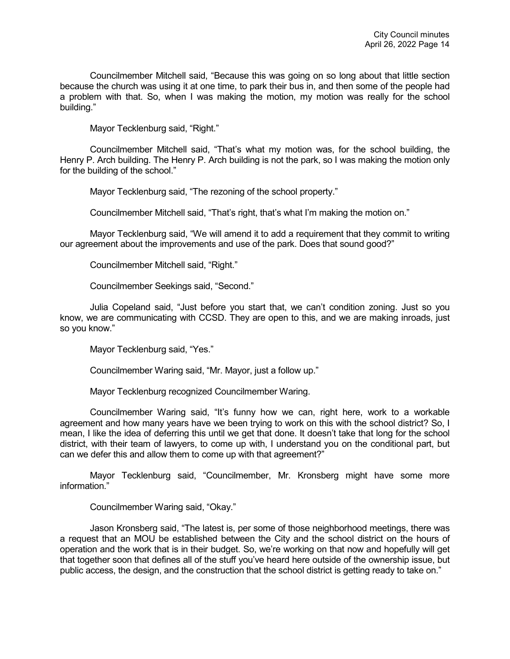Councilmember Mitchell said, "Because this was going on so long about that little section because the church was using it at one time, to park their bus in, and then some of the people had a problem with that. So, when I was making the motion, my motion was really for the school building."

Mayor Tecklenburg said, "Right."

Councilmember Mitchell said, "That's what my motion was, for the school building, the Henry P. Arch building. The Henry P. Arch building is not the park, so I was making the motion only for the building of the school."

Mayor Tecklenburg said, "The rezoning of the school property."

Councilmember Mitchell said, "That's right, that's what I'm making the motion on."

Mayor Tecklenburg said, "We will amend it to add a requirement that they commit to writing our agreement about the improvements and use of the park. Does that sound good?"

Councilmember Mitchell said, "Right."

Councilmember Seekings said, "Second."

Julia Copeland said, "Just before you start that, we can't condition zoning. Just so you know, we are communicating with CCSD. They are open to this, and we are making inroads, just so you know."

Mayor Tecklenburg said, "Yes."

Councilmember Waring said, "Mr. Mayor, just a follow up."

Mayor Tecklenburg recognized Councilmember Waring.

Councilmember Waring said, "It's funny how we can, right here, work to a workable agreement and how many years have we been trying to work on this with the school district? So, I mean, I like the idea of deferring this until we get that done. It doesn't take that long for the school district, with their team of lawyers, to come up with, I understand you on the conditional part, but can we defer this and allow them to come up with that agreement?"

Mayor Tecklenburg said, "Councilmember, Mr. Kronsberg might have some more information."

Councilmember Waring said, "Okay."

Jason Kronsberg said, "The latest is, per some of those neighborhood meetings, there was a request that an MOU be established between the City and the school district on the hours of operation and the work that is in their budget. So, we're working on that now and hopefully will get that together soon that defines all of the stuff you've heard here outside of the ownership issue, but public access, the design, and the construction that the school district is getting ready to take on."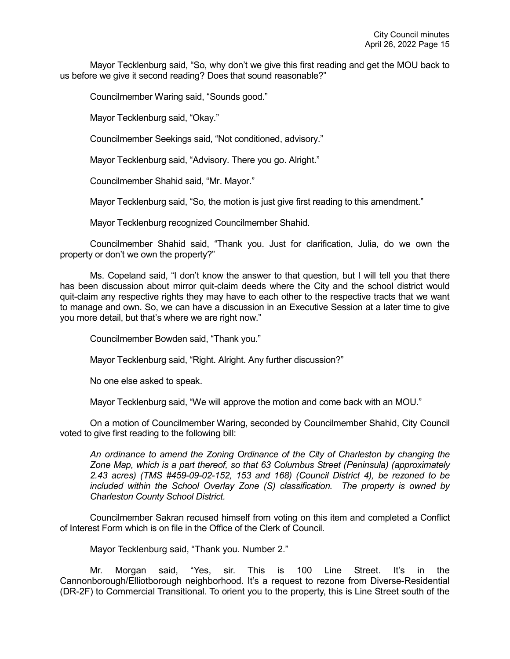Mayor Tecklenburg said, "So, why don't we give this first reading and get the MOU back to us before we give it second reading? Does that sound reasonable?"

Councilmember Waring said, "Sounds good."

Mayor Tecklenburg said, "Okay."

Councilmember Seekings said, "Not conditioned, advisory."

Mayor Tecklenburg said, "Advisory. There you go. Alright."

Councilmember Shahid said, "Mr. Mayor."

Mayor Tecklenburg said, "So, the motion is just give first reading to this amendment."

Mayor Tecklenburg recognized Councilmember Shahid.

Councilmember Shahid said, "Thank you. Just for clarification, Julia, do we own the property or don't we own the property?"

Ms. Copeland said, "I don't know the answer to that question, but I will tell you that there has been discussion about mirror quit-claim deeds where the City and the school district would quit-claim any respective rights they may have to each other to the respective tracts that we want to manage and own. So, we can have a discussion in an Executive Session at a later time to give you more detail, but that's where we are right now."

Councilmember Bowden said, "Thank you."

Mayor Tecklenburg said, "Right. Alright. Any further discussion?"

No one else asked to speak.

Mayor Tecklenburg said, "We will approve the motion and come back with an MOU."

On a motion of Councilmember Waring, seconded by Councilmember Shahid, City Council voted to give first reading to the following bill:

*An ordinance to amend the Zoning Ordinance of the City of Charleston by changing the Zone Map, which is a part thereof, so that 63 Columbus Street (Peninsula) (approximately 2.43 acres) (TMS #459-09-02-152, 153 and 168) (Council District 4), be rezoned to be included within the School Overlay Zone (S) classification. The property is owned by Charleston County School District.*

Councilmember Sakran recused himself from voting on this item and completed a Conflict of Interest Form which is on file in the Office of the Clerk of Council.

Mayor Tecklenburg said, "Thank you. Number 2."

Mr. Morgan said, "Yes, sir. This is 100 Line Street. It's in the Cannonborough/Elliotborough neighborhood. It's a request to rezone from Diverse-Residential (DR-2F) to Commercial Transitional. To orient you to the property, this is Line Street south of the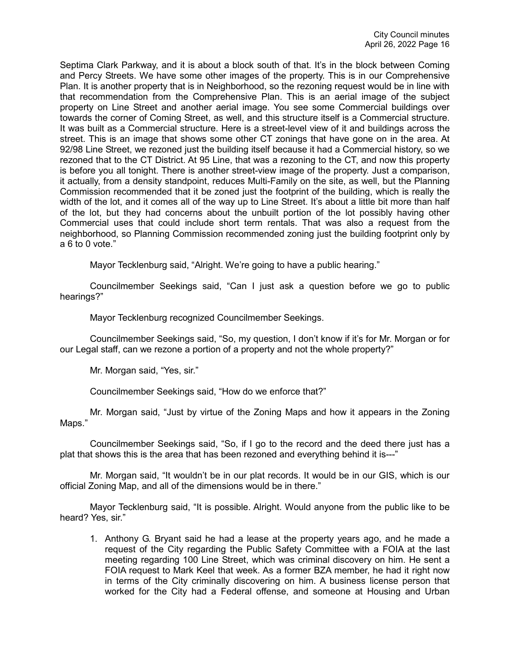Septima Clark Parkway, and it is about a block south of that. It's in the block between Coming and Percy Streets. We have some other images of the property. This is in our Comprehensive Plan. It is another property that is in Neighborhood, so the rezoning request would be in line with that recommendation from the Comprehensive Plan. This is an aerial image of the subject property on Line Street and another aerial image. You see some Commercial buildings over towards the corner of Coming Street, as well, and this structure itself is a Commercial structure. It was built as a Commercial structure. Here is a street-level view of it and buildings across the street. This is an image that shows some other CT zonings that have gone on in the area. At 92/98 Line Street, we rezoned just the building itself because it had a Commercial history, so we rezoned that to the CT District. At 95 Line, that was a rezoning to the CT, and now this property is before you all tonight. There is another street-view image of the property. Just a comparison, it actually, from a density standpoint, reduces Multi-Family on the site, as well, but the Planning Commission recommended that it be zoned just the footprint of the building, which is really the width of the lot, and it comes all of the way up to Line Street. It's about a little bit more than half of the lot, but they had concerns about the unbuilt portion of the lot possibly having other Commercial uses that could include short term rentals. That was also a request from the neighborhood, so Planning Commission recommended zoning just the building footprint only by a 6 to 0 vote."

Mayor Tecklenburg said, "Alright. We're going to have a public hearing."

Councilmember Seekings said, "Can I just ask a question before we go to public hearings?"

Mayor Tecklenburg recognized Councilmember Seekings.

Councilmember Seekings said, "So, my question, I don't know if it's for Mr. Morgan or for our Legal staff, can we rezone a portion of a property and not the whole property?"

Mr. Morgan said, "Yes, sir."

Councilmember Seekings said, "How do we enforce that?"

Mr. Morgan said, "Just by virtue of the Zoning Maps and how it appears in the Zoning Maps."

Councilmember Seekings said, "So, if I go to the record and the deed there just has a plat that shows this is the area that has been rezoned and everything behind it is---"

Mr. Morgan said, "It wouldn't be in our plat records. It would be in our GIS, which is our official Zoning Map, and all of the dimensions would be in there."

Mayor Tecklenburg said, "It is possible. Alright. Would anyone from the public like to be heard? Yes, sir."

1. Anthony G. Bryant said he had a lease at the property years ago, and he made a request of the City regarding the Public Safety Committee with a FOIA at the last meeting regarding 100 Line Street, which was criminal discovery on him. He sent a FOIA request to Mark Keel that week. As a former BZA member, he had it right now in terms of the City criminally discovering on him. A business license person that worked for the City had a Federal offense, and someone at Housing and Urban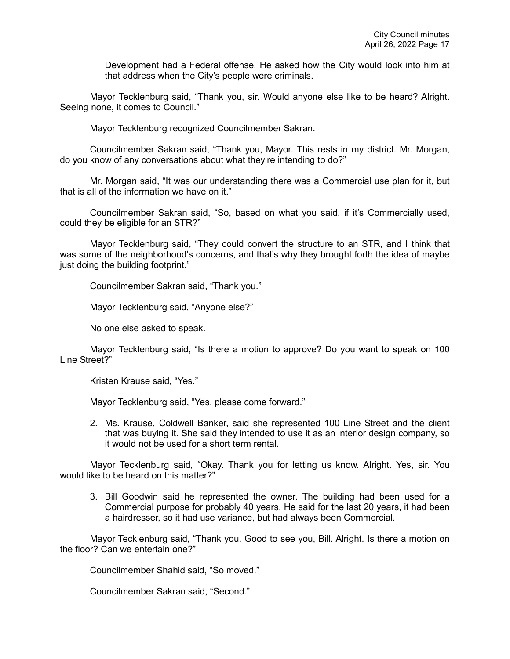Development had a Federal offense. He asked how the City would look into him at that address when the City's people were criminals.

Mayor Tecklenburg said, "Thank you, sir. Would anyone else like to be heard? Alright. Seeing none, it comes to Council."

Mayor Tecklenburg recognized Councilmember Sakran.

Councilmember Sakran said, "Thank you, Mayor. This rests in my district. Mr. Morgan, do you know of any conversations about what they're intending to do?"

Mr. Morgan said, "It was our understanding there was a Commercial use plan for it, but that is all of the information we have on it."

Councilmember Sakran said, "So, based on what you said, if it's Commercially used, could they be eligible for an STR?"

Mayor Tecklenburg said, "They could convert the structure to an STR, and I think that was some of the neighborhood's concerns, and that's why they brought forth the idea of maybe just doing the building footprint."

Councilmember Sakran said, "Thank you."

Mayor Tecklenburg said, "Anyone else?"

No one else asked to speak.

Mayor Tecklenburg said, "Is there a motion to approve? Do you want to speak on 100 Line Street?"

Kristen Krause said, "Yes."

Mayor Tecklenburg said, "Yes, please come forward."

2. Ms. Krause, Coldwell Banker, said she represented 100 Line Street and the client that was buying it. She said they intended to use it as an interior design company, so it would not be used for a short term rental.

Mayor Tecklenburg said, "Okay. Thank you for letting us know. Alright. Yes, sir. You would like to be heard on this matter?"

3. Bill Goodwin said he represented the owner. The building had been used for a Commercial purpose for probably 40 years. He said for the last 20 years, it had been a hairdresser, so it had use variance, but had always been Commercial.

Mayor Tecklenburg said, "Thank you. Good to see you, Bill. Alright. Is there a motion on the floor? Can we entertain one?"

Councilmember Shahid said, "So moved."

Councilmember Sakran said, "Second."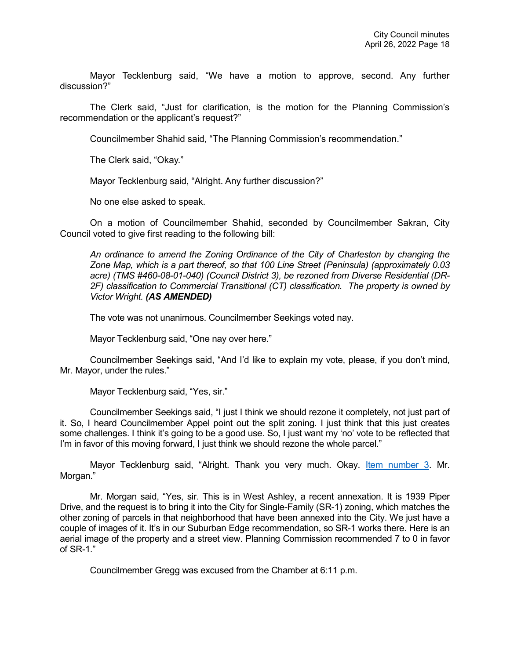Mayor Tecklenburg said, "We have a motion to approve, second. Any further discussion?"

The Clerk said, "Just for clarification, is the motion for the Planning Commission's recommendation or the applicant's request?"

Councilmember Shahid said, "The Planning Commission's recommendation."

The Clerk said, "Okay."

Mayor Tecklenburg said, "Alright. Any further discussion?"

No one else asked to speak.

On a motion of Councilmember Shahid, seconded by Councilmember Sakran, City Council voted to give first reading to the following bill:

*An ordinance to amend the Zoning Ordinance of the City of Charleston by changing the Zone Map, which is a part thereof, so that 100 Line Street (Peninsula) (approximately 0.03 acre) (TMS #460-08-01-040) (Council District 3), be rezoned from Diverse Residential (DR-2F) classification to Commercial Transitional (CT) classification. The property is owned by Victor Wright. (AS AMENDED)* 

The vote was not unanimous. Councilmember Seekings voted nay.

Mayor Tecklenburg said, "One nay over here."

Councilmember Seekings said, "And I'd like to explain my vote, please, if you don't mind, Mr. Mayor, under the rules."

Mayor Tecklenburg said, "Yes, sir."

Councilmember Seekings said, "I just I think we should rezone it completely, not just part of it. So, I heard Councilmember Appel point out the split zoning. I just think that this just creates some challenges. I think it's going to be a good use. So, I just want my 'no' vote to be reflected that I'm in favor of this moving forward, I just think we should rezone the whole parcel."

Mayor Tecklenburg said, "Alright. Thank you very much. Okay. Item [number 3.](https://youtu.be/iZmTRv8HbBI?t=3882) Mr. Morgan."

Mr. Morgan said, "Yes, sir. This is in West Ashley, a recent annexation. It is 1939 Piper Drive, and the request is to bring it into the City for Single-Family (SR-1) zoning, which matches the other zoning of parcels in that neighborhood that have been annexed into the City. We just have a couple of images of it. It's in our Suburban Edge recommendation, so SR-1 works there. Here is an aerial image of the property and a street view. Planning Commission recommended 7 to 0 in favor of SR-1."

Councilmember Gregg was excused from the Chamber at 6:11 p.m.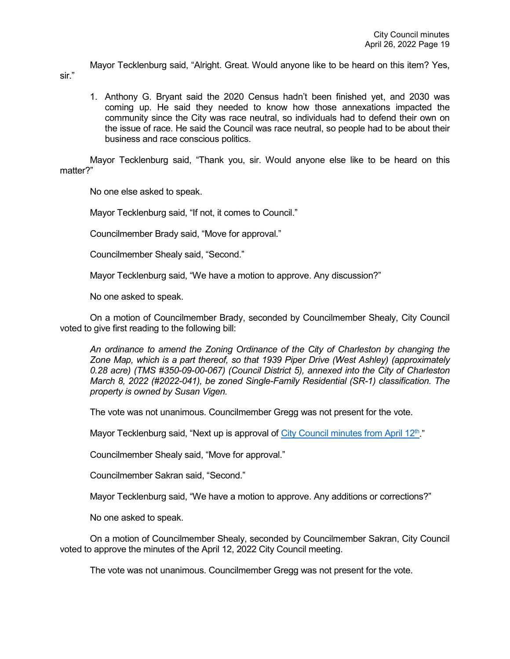Mayor Tecklenburg said, "Alright. Great. Would anyone like to be heard on this item? Yes,

1. Anthony G. Bryant said the 2020 Census hadn't been finished yet, and 2030 was coming up. He said they needed to know how those annexations impacted the community since the City was race neutral, so individuals had to defend their own on the issue of race. He said the Council was race neutral, so people had to be about their business and race conscious politics.

Mayor Tecklenburg said, "Thank you, sir. Would anyone else like to be heard on this matter?"

No one else asked to speak.

sir."

Mayor Tecklenburg said, "If not, it comes to Council."

Councilmember Brady said, "Move for approval."

Councilmember Shealy said, "Second."

Mayor Tecklenburg said, "We have a motion to approve. Any discussion?"

No one asked to speak.

On a motion of Councilmember Brady, seconded by Councilmember Shealy, City Council voted to give first reading to the following bill:

*An ordinance to amend the Zoning Ordinance of the City of Charleston by changing the Zone Map, which is a part thereof, so that 1939 Piper Drive (West Ashley) (approximately 0.28 acre) (TMS #350-09-00-067) (Council District 5), annexed into the City of Charleston March 8, 2022 (#2022-041), be zoned Single-Family Residential (SR-1) classification. The property is owned by Susan Vigen.* 

The vote was not unanimous. Councilmember Gregg was not present for the vote.

Mayor Tecklenburg said, "Next up is approval of City Council minutes from April  $12<sup>th</sup>$ ."

Councilmember Shealy said, "Move for approval."

Councilmember Sakran said, "Second."

Mayor Tecklenburg said, "We have a motion to approve. Any additions or corrections?"

No one asked to speak.

On a motion of Councilmember Shealy, seconded by Councilmember Sakran, City Council voted to approve the minutes of the April 12, 2022 City Council meeting.

The vote was not unanimous. Councilmember Gregg was not present for the vote.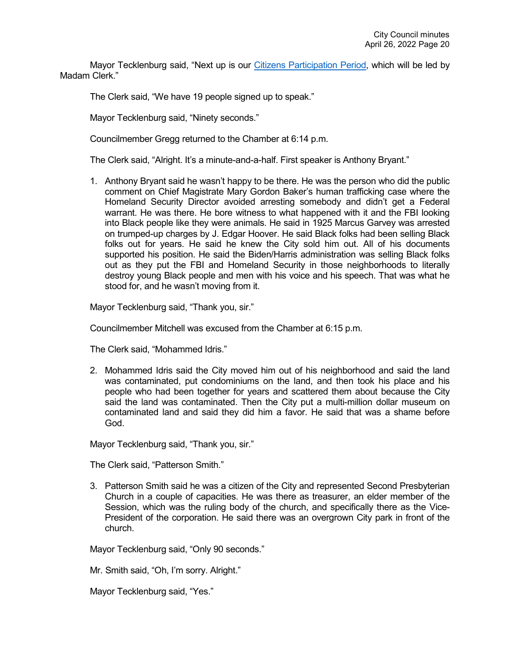Mayor Tecklenburg said, "Next up is our [Citizens Participation Period,](https://youtu.be/iZmTRv8HbBI?t=3980) which will be led by Madam Clerk."

The Clerk said, "We have 19 people signed up to speak."

Mayor Tecklenburg said, "Ninety seconds."

Councilmember Gregg returned to the Chamber at 6:14 p.m.

The Clerk said, "Alright. It's a minute-and-a-half. First speaker is Anthony Bryant."

1. Anthony Bryant said he wasn't happy to be there. He was the person who did the public comment on Chief Magistrate Mary Gordon Baker's human trafficking case where the Homeland Security Director avoided arresting somebody and didn't get a Federal warrant. He was there. He bore witness to what happened with it and the FBI looking into Black people like they were animals. He said in 1925 Marcus Garvey was arrested on trumped-up charges by J. Edgar Hoover. He said Black folks had been selling Black folks out for years. He said he knew the City sold him out. All of his documents supported his position. He said the Biden/Harris administration was selling Black folks out as they put the FBI and Homeland Security in those neighborhoods to literally destroy young Black people and men with his voice and his speech. That was what he stood for, and he wasn't moving from it.

Mayor Tecklenburg said, "Thank you, sir."

Councilmember Mitchell was excused from the Chamber at 6:15 p.m.

The Clerk said, "Mohammed Idris."

2. Mohammed Idris said the City moved him out of his neighborhood and said the land was contaminated, put condominiums on the land, and then took his place and his people who had been together for years and scattered them about because the City said the land was contaminated. Then the City put a multi-million dollar museum on contaminated land and said they did him a favor. He said that was a shame before God.

Mayor Tecklenburg said, "Thank you, sir."

The Clerk said, "Patterson Smith."

3. Patterson Smith said he was a citizen of the City and represented Second Presbyterian Church in a couple of capacities. He was there as treasurer, an elder member of the Session, which was the ruling body of the church, and specifically there as the Vice-President of the corporation. He said there was an overgrown City park in front of the church.

Mayor Tecklenburg said, "Only 90 seconds."

Mr. Smith said, "Oh, I'm sorry. Alright."

Mayor Tecklenburg said, "Yes."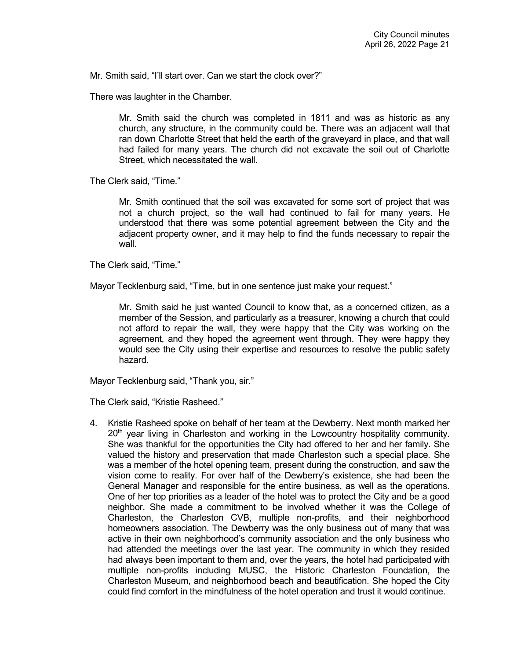Mr. Smith said, "I'll start over. Can we start the clock over?"

There was laughter in the Chamber.

Mr. Smith said the church was completed in 1811 and was as historic as any church, any structure, in the community could be. There was an adjacent wall that ran down Charlotte Street that held the earth of the graveyard in place, and that wall had failed for many years. The church did not excavate the soil out of Charlotte Street, which necessitated the wall.

The Clerk said, "Time."

Mr. Smith continued that the soil was excavated for some sort of project that was not a church project, so the wall had continued to fail for many years. He understood that there was some potential agreement between the City and the adjacent property owner, and it may help to find the funds necessary to repair the wall.

The Clerk said, "Time."

Mayor Tecklenburg said, "Time, but in one sentence just make your request."

Mr. Smith said he just wanted Council to know that, as a concerned citizen, as a member of the Session, and particularly as a treasurer, knowing a church that could not afford to repair the wall, they were happy that the City was working on the agreement, and they hoped the agreement went through. They were happy they would see the City using their expertise and resources to resolve the public safety hazard.

Mayor Tecklenburg said, "Thank you, sir."

The Clerk said, "Kristie Rasheed."

4. Kristie Rasheed spoke on behalf of her team at the Dewberry. Next month marked her 20<sup>th</sup> year living in Charleston and working in the Lowcountry hospitality community. She was thankful for the opportunities the City had offered to her and her family. She valued the history and preservation that made Charleston such a special place. She was a member of the hotel opening team, present during the construction, and saw the vision come to reality. For over half of the Dewberry's existence, she had been the General Manager and responsible for the entire business, as well as the operations. One of her top priorities as a leader of the hotel was to protect the City and be a good neighbor. She made a commitment to be involved whether it was the College of Charleston, the Charleston CVB, multiple non-profits, and their neighborhood homeowners association. The Dewberry was the only business out of many that was active in their own neighborhood's community association and the only business who had attended the meetings over the last year. The community in which they resided had always been important to them and, over the years, the hotel had participated with multiple non-profits including MUSC, the Historic Charleston Foundation, the Charleston Museum, and neighborhood beach and beautification. She hoped the City could find comfort in the mindfulness of the hotel operation and trust it would continue.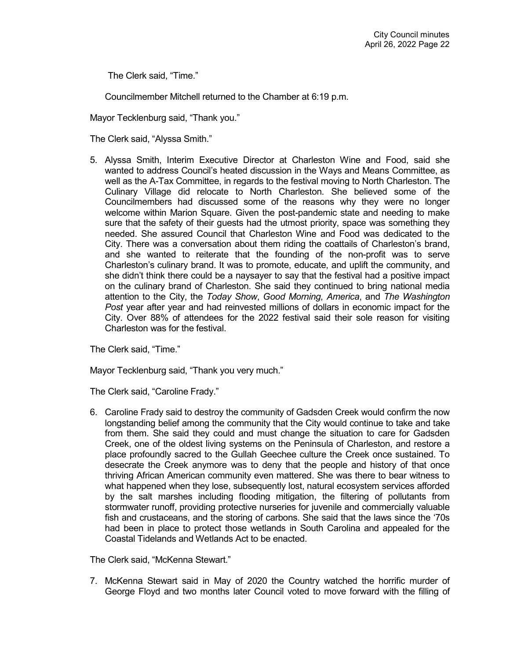The Clerk said, "Time."

Councilmember Mitchell returned to the Chamber at 6:19 p.m.

Mayor Tecklenburg said, "Thank you."

The Clerk said, "Alyssa Smith."

5. Alyssa Smith, Interim Executive Director at Charleston Wine and Food, said she wanted to address Council's heated discussion in the Ways and Means Committee, as well as the A-Tax Committee, in regards to the festival moving to North Charleston. The Culinary Village did relocate to North Charleston. She believed some of the Councilmembers had discussed some of the reasons why they were no longer welcome within Marion Square. Given the post-pandemic state and needing to make sure that the safety of their guests had the utmost priority, space was something they needed. She assured Council that Charleston Wine and Food was dedicated to the City. There was a conversation about them riding the coattails of Charleston's brand, and she wanted to reiterate that the founding of the non-profit was to serve Charleston's culinary brand. It was to promote, educate, and uplift the community, and she didn't think there could be a naysayer to say that the festival had a positive impact on the culinary brand of Charleston. She said they continued to bring national media attention to the City, the *Today Show*, *Good Morning, America*, and *The Washington Post* year after year and had reinvested millions of dollars in economic impact for the City. Over 88% of attendees for the 2022 festival said their sole reason for visiting Charleston was for the festival.

The Clerk said, "Time."

Mayor Tecklenburg said, "Thank you very much."

The Clerk said, "Caroline Frady."

6. Caroline Frady said to destroy the community of Gadsden Creek would confirm the now longstanding belief among the community that the City would continue to take and take from them. She said they could and must change the situation to care for Gadsden Creek, one of the oldest living systems on the Peninsula of Charleston, and restore a place profoundly sacred to the Gullah Geechee culture the Creek once sustained. To desecrate the Creek anymore was to deny that the people and history of that once thriving African American community even mattered. She was there to bear witness to what happened when they lose, subsequently lost, natural ecosystem services afforded by the salt marshes including flooding mitigation, the filtering of pollutants from stormwater runoff, providing protective nurseries for juvenile and commercially valuable fish and crustaceans, and the storing of carbons. She said that the laws since the '70s had been in place to protect those wetlands in South Carolina and appealed for the Coastal Tidelands and Wetlands Act to be enacted.

The Clerk said, "McKenna Stewart."

7. McKenna Stewart said in May of 2020 the Country watched the horrific murder of George Floyd and two months later Council voted to move forward with the filling of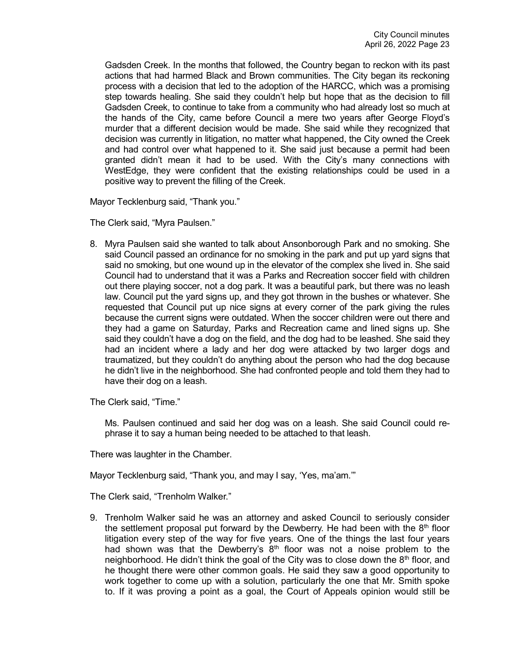Gadsden Creek. In the months that followed, the Country began to reckon with its past actions that had harmed Black and Brown communities. The City began its reckoning process with a decision that led to the adoption of the HARCC, which was a promising step towards healing. She said they couldn't help but hope that as the decision to fill Gadsden Creek, to continue to take from a community who had already lost so much at the hands of the City, came before Council a mere two years after George Floyd's murder that a different decision would be made. She said while they recognized that decision was currently in litigation, no matter what happened, the City owned the Creek and had control over what happened to it. She said just because a permit had been granted didn't mean it had to be used. With the City's many connections with WestEdge, they were confident that the existing relationships could be used in a positive way to prevent the filling of the Creek.

Mayor Tecklenburg said, "Thank you."

The Clerk said, "Myra Paulsen."

8. Myra Paulsen said she wanted to talk about Ansonborough Park and no smoking. She said Council passed an ordinance for no smoking in the park and put up yard signs that said no smoking, but one wound up in the elevator of the complex she lived in. She said Council had to understand that it was a Parks and Recreation soccer field with children out there playing soccer, not a dog park. It was a beautiful park, but there was no leash law. Council put the yard signs up, and they got thrown in the bushes or whatever. She requested that Council put up nice signs at every corner of the park giving the rules because the current signs were outdated. When the soccer children were out there and they had a game on Saturday, Parks and Recreation came and lined signs up. She said they couldn't have a dog on the field, and the dog had to be leashed. She said they had an incident where a lady and her dog were attacked by two larger dogs and traumatized, but they couldn't do anything about the person who had the dog because he didn't live in the neighborhood. She had confronted people and told them they had to have their dog on a leash.

The Clerk said, "Time."

Ms. Paulsen continued and said her dog was on a leash. She said Council could rephrase it to say a human being needed to be attached to that leash.

There was laughter in the Chamber.

Mayor Tecklenburg said, "Thank you, and may I say, 'Yes, ma'am.'"

The Clerk said, "Trenholm Walker."

9. Trenholm Walker said he was an attorney and asked Council to seriously consider the settlement proposal put forward by the Dewberry. He had been with the  $8<sup>th</sup>$  floor litigation every step of the way for five years. One of the things the last four years had shown was that the Dewberry's  $8<sup>th</sup>$  floor was not a noise problem to the neighborhood. He didn't think the goal of the City was to close down the  $8<sup>th</sup>$  floor, and he thought there were other common goals. He said they saw a good opportunity to work together to come up with a solution, particularly the one that Mr. Smith spoke to. If it was proving a point as a goal, the Court of Appeals opinion would still be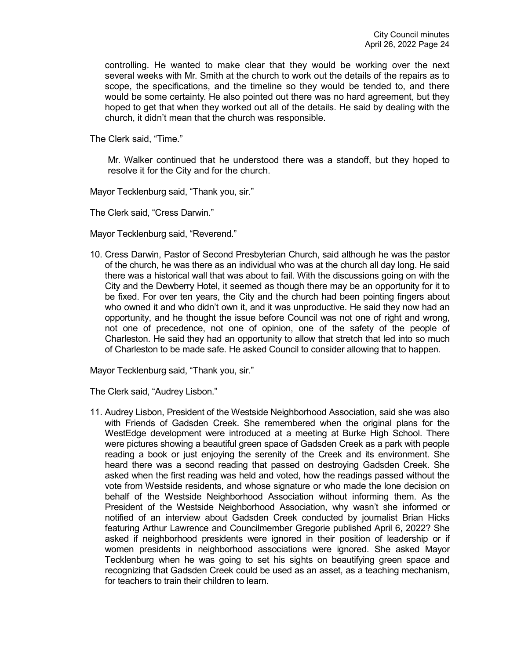controlling. He wanted to make clear that they would be working over the next several weeks with Mr. Smith at the church to work out the details of the repairs as to scope, the specifications, and the timeline so they would be tended to, and there would be some certainty. He also pointed out there was no hard agreement, but they hoped to get that when they worked out all of the details. He said by dealing with the church, it didn't mean that the church was responsible.

The Clerk said, "Time."

Mr. Walker continued that he understood there was a standoff, but they hoped to resolve it for the City and for the church.

Mayor Tecklenburg said, "Thank you, sir."

The Clerk said, "Cress Darwin."

Mayor Tecklenburg said, "Reverend."

10. Cress Darwin, Pastor of Second Presbyterian Church, said although he was the pastor of the church, he was there as an individual who was at the church all day long. He said there was a historical wall that was about to fail. With the discussions going on with the City and the Dewberry Hotel, it seemed as though there may be an opportunity for it to be fixed. For over ten years, the City and the church had been pointing fingers about who owned it and who didn't own it, and it was unproductive. He said they now had an opportunity, and he thought the issue before Council was not one of right and wrong, not one of precedence, not one of opinion, one of the safety of the people of Charleston. He said they had an opportunity to allow that stretch that led into so much of Charleston to be made safe. He asked Council to consider allowing that to happen.

Mayor Tecklenburg said, "Thank you, sir."

The Clerk said, "Audrey Lisbon."

11. Audrey Lisbon, President of the Westside Neighborhood Association, said she was also with Friends of Gadsden Creek. She remembered when the original plans for the WestEdge development were introduced at a meeting at Burke High School. There were pictures showing a beautiful green space of Gadsden Creek as a park with people reading a book or just enjoying the serenity of the Creek and its environment. She heard there was a second reading that passed on destroying Gadsden Creek. She asked when the first reading was held and voted, how the readings passed without the vote from Westside residents, and whose signature or who made the lone decision on behalf of the Westside Neighborhood Association without informing them. As the President of the Westside Neighborhood Association, why wasn't she informed or notified of an interview about Gadsden Creek conducted by journalist Brian Hicks featuring Arthur Lawrence and Councilmember Gregorie published April 6, 2022? She asked if neighborhood presidents were ignored in their position of leadership or if women presidents in neighborhood associations were ignored. She asked Mayor Tecklenburg when he was going to set his sights on beautifying green space and recognizing that Gadsden Creek could be used as an asset, as a teaching mechanism, for teachers to train their children to learn.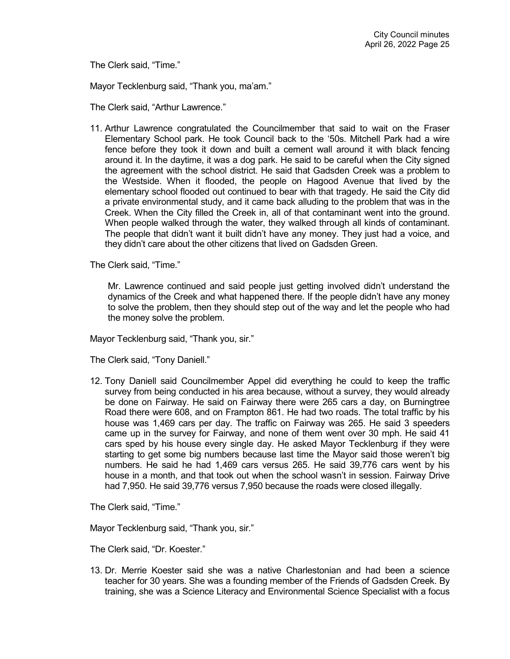The Clerk said, "Time."

Mayor Tecklenburg said, "Thank you, ma'am."

The Clerk said, "Arthur Lawrence."

11. Arthur Lawrence congratulated the Councilmember that said to wait on the Fraser Elementary School park. He took Council back to the '50s. Mitchell Park had a wire fence before they took it down and built a cement wall around it with black fencing around it. In the daytime, it was a dog park. He said to be careful when the City signed the agreement with the school district. He said that Gadsden Creek was a problem to the Westside. When it flooded, the people on Hagood Avenue that lived by the elementary school flooded out continued to bear with that tragedy. He said the City did a private environmental study, and it came back alluding to the problem that was in the Creek. When the City filled the Creek in, all of that contaminant went into the ground. When people walked through the water, they walked through all kinds of contaminant. The people that didn't want it built didn't have any money. They just had a voice, and they didn't care about the other citizens that lived on Gadsden Green.

The Clerk said, "Time."

Mr. Lawrence continued and said people just getting involved didn't understand the dynamics of the Creek and what happened there. If the people didn't have any money to solve the problem, then they should step out of the way and let the people who had the money solve the problem.

Mayor Tecklenburg said, "Thank you, sir."

The Clerk said, "Tony Daniell."

12. Tony Daniell said Councilmember Appel did everything he could to keep the traffic survey from being conducted in his area because, without a survey, they would already be done on Fairway. He said on Fairway there were 265 cars a day, on Burningtree Road there were 608, and on Frampton 861. He had two roads. The total traffic by his house was 1,469 cars per day. The traffic on Fairway was 265. He said 3 speeders came up in the survey for Fairway, and none of them went over 30 mph. He said 41 cars sped by his house every single day. He asked Mayor Tecklenburg if they were starting to get some big numbers because last time the Mayor said those weren't big numbers. He said he had 1,469 cars versus 265. He said 39,776 cars went by his house in a month, and that took out when the school wasn't in session. Fairway Drive had 7,950. He said 39,776 versus 7,950 because the roads were closed illegally.

The Clerk said, "Time."

Mayor Tecklenburg said, "Thank you, sir."

The Clerk said, "Dr. Koester."

13. Dr. Merrie Koester said she was a native Charlestonian and had been a science teacher for 30 years. She was a founding member of the Friends of Gadsden Creek. By training, she was a Science Literacy and Environmental Science Specialist with a focus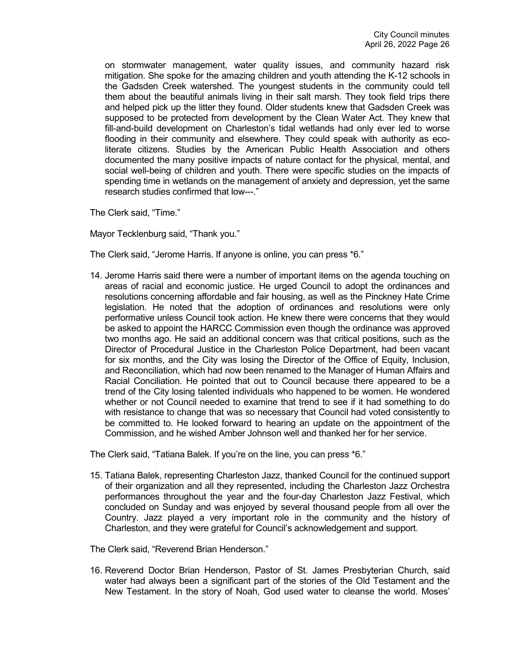on stormwater management, water quality issues, and community hazard risk mitigation. She spoke for the amazing children and youth attending the K-12 schools in the Gadsden Creek watershed. The youngest students in the community could tell them about the beautiful animals living in their salt marsh. They took field trips there and helped pick up the litter they found. Older students knew that Gadsden Creek was supposed to be protected from development by the Clean Water Act. They knew that fill-and-build development on Charleston's tidal wetlands had only ever led to worse flooding in their community and elsewhere. They could speak with authority as ecoliterate citizens. Studies by the American Public Health Association and others documented the many positive impacts of nature contact for the physical, mental, and social well-being of children and youth. There were specific studies on the impacts of spending time in wetlands on the management of anxiety and depression, yet the same research studies confirmed that low---."

The Clerk said, "Time."

Mayor Tecklenburg said, "Thank you."

The Clerk said, "Jerome Harris. If anyone is online, you can press \*6."

14. Jerome Harris said there were a number of important items on the agenda touching on areas of racial and economic justice. He urged Council to adopt the ordinances and resolutions concerning affordable and fair housing, as well as the Pinckney Hate Crime legislation. He noted that the adoption of ordinances and resolutions were only performative unless Council took action. He knew there were concerns that they would be asked to appoint the HARCC Commission even though the ordinance was approved two months ago. He said an additional concern was that critical positions, such as the Director of Procedural Justice in the Charleston Police Department, had been vacant for six months, and the City was losing the Director of the Office of Equity, Inclusion, and Reconciliation, which had now been renamed to the Manager of Human Affairs and Racial Conciliation. He pointed that out to Council because there appeared to be a trend of the City losing talented individuals who happened to be women. He wondered whether or not Council needed to examine that trend to see if it had something to do with resistance to change that was so necessary that Council had voted consistently to be committed to. He looked forward to hearing an update on the appointment of the Commission, and he wished Amber Johnson well and thanked her for her service.

The Clerk said, "Tatiana Balek. If you're on the line, you can press \*6."

15. Tatiana Balek, representing Charleston Jazz, thanked Council for the continued support of their organization and all they represented, including the Charleston Jazz Orchestra performances throughout the year and the four-day Charleston Jazz Festival, which concluded on Sunday and was enjoyed by several thousand people from all over the Country. Jazz played a very important role in the community and the history of Charleston, and they were grateful for Council's acknowledgement and support.

The Clerk said, "Reverend Brian Henderson."

16. Reverend Doctor Brian Henderson, Pastor of St. James Presbyterian Church, said water had always been a significant part of the stories of the Old Testament and the New Testament. In the story of Noah, God used water to cleanse the world. Moses'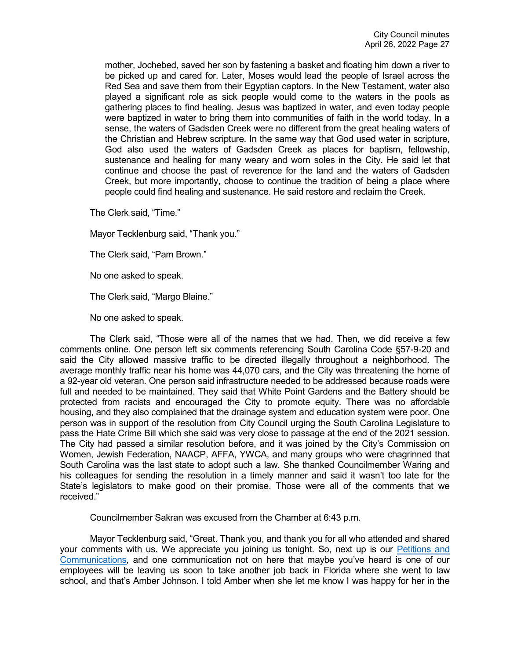mother, Jochebed, saved her son by fastening a basket and floating him down a river to be picked up and cared for. Later, Moses would lead the people of Israel across the Red Sea and save them from their Egyptian captors. In the New Testament, water also played a significant role as sick people would come to the waters in the pools as gathering places to find healing. Jesus was baptized in water, and even today people were baptized in water to bring them into communities of faith in the world today. In a sense, the waters of Gadsden Creek were no different from the great healing waters of the Christian and Hebrew scripture. In the same way that God used water in scripture, God also used the waters of Gadsden Creek as places for baptism, fellowship, sustenance and healing for many weary and worn soles in the City. He said let that continue and choose the past of reverence for the land and the waters of Gadsden Creek, but more importantly, choose to continue the tradition of being a place where people could find healing and sustenance. He said restore and reclaim the Creek.

The Clerk said, "Time."

Mayor Tecklenburg said, "Thank you."

The Clerk said, "Pam Brown."

No one asked to speak.

The Clerk said, "Margo Blaine."

No one asked to speak.

The Clerk said, "Those were all of the names that we had. Then, we did receive a few comments online. One person left six comments referencing South Carolina Code §57-9-20 and said the City allowed massive traffic to be directed illegally throughout a neighborhood. The average monthly traffic near his home was 44,070 cars, and the City was threatening the home of a 92-year old veteran. One person said infrastructure needed to be addressed because roads were full and needed to be maintained. They said that White Point Gardens and the Battery should be protected from racists and encouraged the City to promote equity. There was no affordable housing, and they also complained that the drainage system and education system were poor. One person was in support of the resolution from City Council urging the South Carolina Legislature to pass the Hate Crime Bill which she said was very close to passage at the end of the 2021 session. The City had passed a similar resolution before, and it was joined by the City's Commission on Women, Jewish Federation, NAACP, AFFA, YWCA, and many groups who were chagrinned that South Carolina was the last state to adopt such a law. She thanked Councilmember Waring and his colleagues for sending the resolution in a timely manner and said it wasn't too late for the State's legislators to make good on their promise. Those were all of the comments that we received."

Councilmember Sakran was excused from the Chamber at 6:43 p.m.

Mayor Tecklenburg said, "Great. Thank you, and thank you for all who attended and shared your comments with us. We appreciate you joining us tonight. So, next up is our Petitions and [Communications,](https://youtu.be/iZmTRv8HbBI?t=5812) and one communication not on here that maybe you've heard is one of our employees will be leaving us soon to take another job back in Florida where she went to law school, and that's Amber Johnson. I told Amber when she let me know I was happy for her in the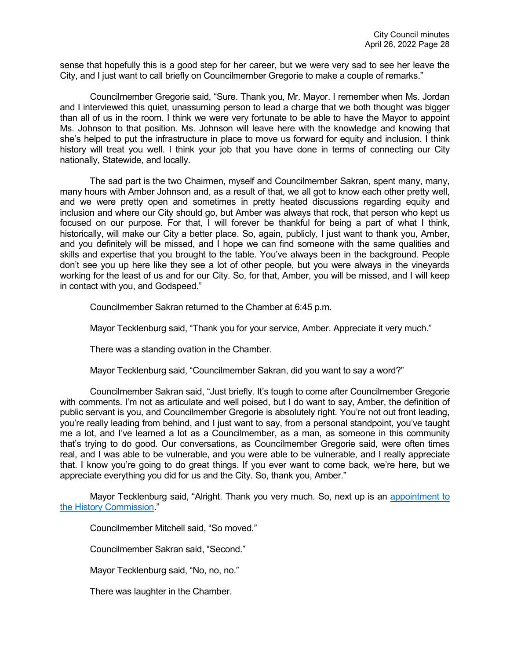sense that hopefully this is a good step for her career, but we were very sad to see her leave the City, and I just want to call briefly on Councilmember Gregorie to make a couple of remarks."

Councilmember Gregorie said, "Sure. Thank you, Mr. Mayor. I remember when Ms. Jordan and I interviewed this quiet, unassuming person to lead a charge that we both thought was bigger than all of us in the room. I think we were very fortunate to be able to have the Mayor to appoint Ms. Johnson to that position. Ms. Johnson will leave here with the knowledge and knowing that she's helped to put the infrastructure in place to move us forward for equity and inclusion. I think history will treat you well. I think your job that you have done in terms of connecting our City nationally, Statewide, and locally.

The sad part is the two Chairmen, myself and Councilmember Sakran, spent many, many, many hours with Amber Johnson and, as a result of that, we all got to know each other pretty well, and we were pretty open and sometimes in pretty heated discussions regarding equity and inclusion and where our City should go, but Amber was always that rock, that person who kept us focused on our purpose. For that, I will forever be thankful for being a part of what I think, historically, will make our City a better place. So, again, publicly, I just want to thank you, Amber, and you definitely will be missed, and I hope we can find someone with the same qualities and skills and expertise that you brought to the table. You've always been in the background. People don't see you up here like they see a lot of other people, but you were always in the vineyards working for the least of us and for our City. So, for that, Amber, you will be missed, and I will keep in contact with you, and Godspeed."

Councilmember Sakran returned to the Chamber at 6:45 p.m.

Mayor Tecklenburg said, "Thank you for your service, Amber. Appreciate it very much."

There was a standing ovation in the Chamber.

Mayor Tecklenburg said, "Councilmember Sakran, did you want to say a word?"

Councilmember Sakran said, "Just briefly. It's tough to come after Councilmember Gregorie with comments. I'm not as articulate and well poised, but I do want to say, Amber, the definition of public servant is you, and Councilmember Gregorie is absolutely right. You're not out front leading, you're really leading from behind, and I just want to say, from a personal standpoint, you've taught me a lot, and I've learned a lot as a Councilmember, as a man, as someone in this community that's trying to do good. Our conversations, as Councilmember Gregorie said, were often times real, and I was able to be vulnerable, and you were able to be vulnerable, and I really appreciate that. I know you're going to do great things. If you ever want to come back, we're here, but we appreciate everything you did for us and the City. So, thank you, Amber."

Mayor Tecklenburg said, "Alright. Thank you very much. So, next up is an [appointment to](https://youtu.be/iZmTRv8HbBI?t=6123)  [the History Commission.](https://youtu.be/iZmTRv8HbBI?t=6123)"

Councilmember Mitchell said, "So moved."

Councilmember Sakran said, "Second."

Mayor Tecklenburg said, "No, no, no."

There was laughter in the Chamber.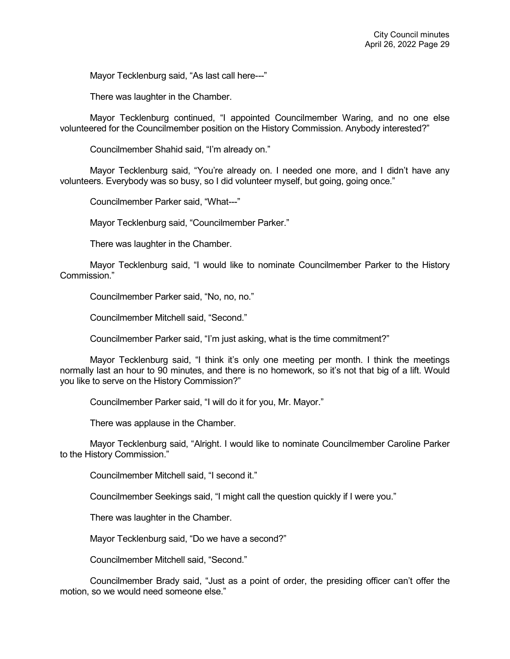Mayor Tecklenburg said, "As last call here---"

There was laughter in the Chamber.

Mayor Tecklenburg continued, "I appointed Councilmember Waring, and no one else volunteered for the Councilmember position on the History Commission. Anybody interested?"

Councilmember Shahid said, "I'm already on."

Mayor Tecklenburg said, "You're already on. I needed one more, and I didn't have any volunteers. Everybody was so busy, so I did volunteer myself, but going, going once."

Councilmember Parker said, "What---"

Mayor Tecklenburg said, "Councilmember Parker."

There was laughter in the Chamber.

Mayor Tecklenburg said, "I would like to nominate Councilmember Parker to the History Commission."

Councilmember Parker said, "No, no, no."

Councilmember Mitchell said, "Second."

Councilmember Parker said, "I'm just asking, what is the time commitment?"

Mayor Tecklenburg said, "I think it's only one meeting per month. I think the meetings normally last an hour to 90 minutes, and there is no homework, so it's not that big of a lift. Would you like to serve on the History Commission?"

Councilmember Parker said, "I will do it for you, Mr. Mayor."

There was applause in the Chamber.

Mayor Tecklenburg said, "Alright. I would like to nominate Councilmember Caroline Parker to the History Commission."

Councilmember Mitchell said, "I second it."

Councilmember Seekings said, "I might call the question quickly if I were you."

There was laughter in the Chamber.

Mayor Tecklenburg said, "Do we have a second?"

Councilmember Mitchell said, "Second."

Councilmember Brady said, "Just as a point of order, the presiding officer can't offer the motion, so we would need someone else."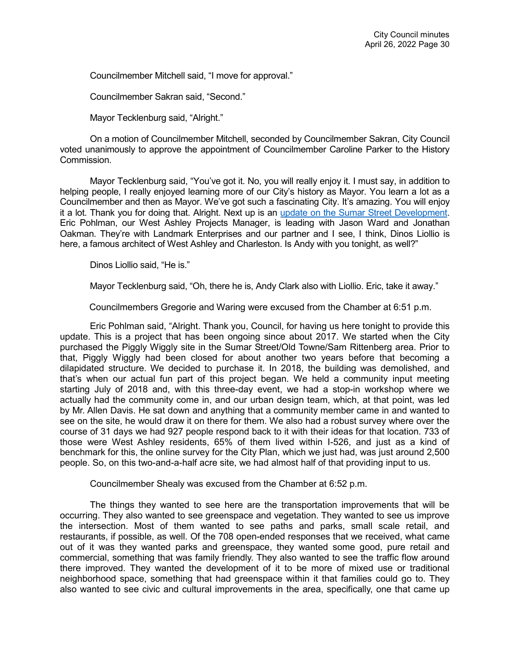Councilmember Mitchell said, "I move for approval."

Councilmember Sakran said, "Second."

Mayor Tecklenburg said, "Alright."

On a motion of Councilmember Mitchell, seconded by Councilmember Sakran, City Council voted unanimously to approve the appointment of Councilmember Caroline Parker to the History Commission.

Mayor Tecklenburg said, "You've got it. No, you will really enjoy it. I must say, in addition to helping people, I really enjoyed learning more of our City's history as Mayor. You learn a lot as a Councilmember and then as Mayor. We've got such a fascinating City. It's amazing. You will enjoy it a lot. Thank you for doing that. Alright. Next up is an [update on the Sumar Street Development.](https://youtu.be/iZmTRv8HbBI?t=6241) Eric Pohlman, our West Ashley Projects Manager, is leading with Jason Ward and Jonathan Oakman. They're with Landmark Enterprises and our partner and I see, I think, Dinos Liollio is here, a famous architect of West Ashley and Charleston. Is Andy with you tonight, as well?"

Dinos Liollio said, "He is."

Mayor Tecklenburg said, "Oh, there he is, Andy Clark also with Liollio. Eric, take it away."

Councilmembers Gregorie and Waring were excused from the Chamber at 6:51 p.m.

Eric Pohlman said, "Alright. Thank you, Council, for having us here tonight to provide this update. This is a project that has been ongoing since about 2017. We started when the City purchased the Piggly Wiggly site in the Sumar Street/Old Towne/Sam Rittenberg area. Prior to that, Piggly Wiggly had been closed for about another two years before that becoming a dilapidated structure. We decided to purchase it. In 2018, the building was demolished, and that's when our actual fun part of this project began. We held a community input meeting starting July of 2018 and, with this three-day event, we had a stop-in workshop where we actually had the community come in, and our urban design team, which, at that point, was led by Mr. Allen Davis. He sat down and anything that a community member came in and wanted to see on the site, he would draw it on there for them. We also had a robust survey where over the course of 31 days we had 927 people respond back to it with their ideas for that location. 733 of those were West Ashley residents, 65% of them lived within I-526, and just as a kind of benchmark for this, the online survey for the City Plan, which we just had, was just around 2,500 people. So, on this two-and-a-half acre site, we had almost half of that providing input to us.

Councilmember Shealy was excused from the Chamber at 6:52 p.m.

The things they wanted to see here are the transportation improvements that will be occurring. They also wanted to see greenspace and vegetation. They wanted to see us improve the intersection. Most of them wanted to see paths and parks, small scale retail, and restaurants, if possible, as well. Of the 708 open-ended responses that we received, what came out of it was they wanted parks and greenspace, they wanted some good, pure retail and commercial, something that was family friendly. They also wanted to see the traffic flow around there improved. They wanted the development of it to be more of mixed use or traditional neighborhood space, something that had greenspace within it that families could go to. They also wanted to see civic and cultural improvements in the area, specifically, one that came up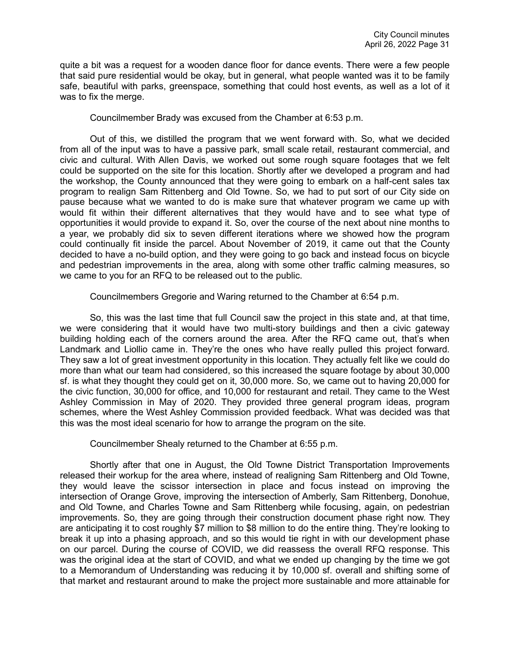quite a bit was a request for a wooden dance floor for dance events. There were a few people that said pure residential would be okay, but in general, what people wanted was it to be family safe, beautiful with parks, greenspace, something that could host events, as well as a lot of it was to fix the merge.

Councilmember Brady was excused from the Chamber at 6:53 p.m.

Out of this, we distilled the program that we went forward with. So, what we decided from all of the input was to have a passive park, small scale retail, restaurant commercial, and civic and cultural. With Allen Davis, we worked out some rough square footages that we felt could be supported on the site for this location. Shortly after we developed a program and had the workshop, the County announced that they were going to embark on a half-cent sales tax program to realign Sam Rittenberg and Old Towne. So, we had to put sort of our City side on pause because what we wanted to do is make sure that whatever program we came up with would fit within their different alternatives that they would have and to see what type of opportunities it would provide to expand it. So, over the course of the next about nine months to a year, we probably did six to seven different iterations where we showed how the program could continually fit inside the parcel. About November of 2019, it came out that the County decided to have a no-build option, and they were going to go back and instead focus on bicycle and pedestrian improvements in the area, along with some other traffic calming measures, so we came to you for an RFQ to be released out to the public.

Councilmembers Gregorie and Waring returned to the Chamber at 6:54 p.m.

So, this was the last time that full Council saw the project in this state and, at that time, we were considering that it would have two multi-story buildings and then a civic gateway building holding each of the corners around the area. After the RFQ came out, that's when Landmark and Liollio came in. They're the ones who have really pulled this project forward. They saw a lot of great investment opportunity in this location. They actually felt like we could do more than what our team had considered, so this increased the square footage by about 30,000 sf. is what they thought they could get on it, 30,000 more. So, we came out to having 20,000 for the civic function, 30,000 for office, and 10,000 for restaurant and retail. They came to the West Ashley Commission in May of 2020. They provided three general program ideas, program schemes, where the West Ashley Commission provided feedback. What was decided was that this was the most ideal scenario for how to arrange the program on the site.

Councilmember Shealy returned to the Chamber at 6:55 p.m.

Shortly after that one in August, the Old Towne District Transportation Improvements released their workup for the area where, instead of realigning Sam Rittenberg and Old Towne, they would leave the scissor intersection in place and focus instead on improving the intersection of Orange Grove, improving the intersection of Amberly, Sam Rittenberg, Donohue, and Old Towne, and Charles Towne and Sam Rittenberg while focusing, again, on pedestrian improvements. So, they are going through their construction document phase right now. They are anticipating it to cost roughly \$7 million to \$8 million to do the entire thing. They're looking to break it up into a phasing approach, and so this would tie right in with our development phase on our parcel. During the course of COVID, we did reassess the overall RFQ response. This was the original idea at the start of COVID, and what we ended up changing by the time we got to a Memorandum of Understanding was reducing it by 10,000 sf. overall and shifting some of that market and restaurant around to make the project more sustainable and more attainable for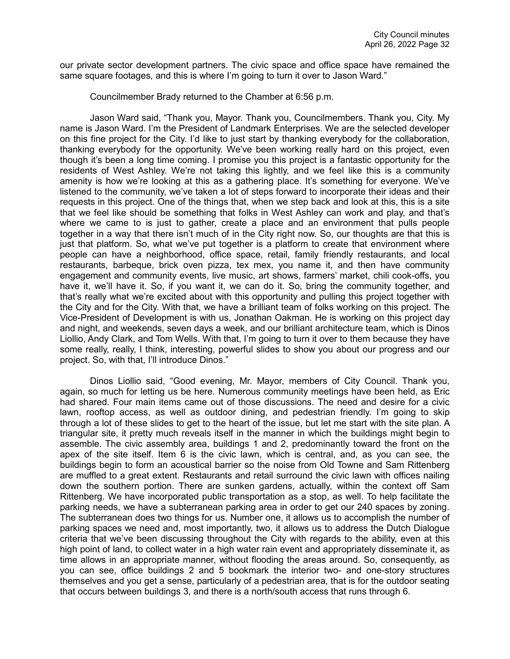our private sector development partners. The civic space and office space have remained the same square footages, and this is where I'm going to turn it over to Jason Ward."

Councilmember Brady returned to the Chamber at 6:56 p.m.

Jason Ward said, "Thank you, Mayor. Thank you, Councilmembers. Thank you, City. My name is Jason Ward. I'm the President of Landmark Enterprises. We are the selected developer on this fine project for the City. I'd like to just start by thanking everybody for the collaboration, thanking everybody for the opportunity. We've been working really hard on this project, even though it's been a long time coming. I promise you this project is a fantastic opportunity for the residents of West Ashley. We're not taking this lightly, and we feel like this is a community amenity is how we're looking at this as a gathering place. It's something for everyone. We've listened to the community, we've taken a lot of steps forward to incorporate their ideas and their requests in this project. One of the things that, when we step back and look at this, this is a site that we feel like should be something that folks in West Ashley can work and play, and that's where we came to is just to gather, create a place and an environment that pulls people together in a way that there isn't much of in the City right now. So, our thoughts are that this is just that platform. So, what we've put together is a platform to create that environment where people can have a neighborhood, office space, retail, family friendly restaurants, and local restaurants, barbeque, brick oven pizza, tex mex, you name it, and then have community engagement and community events, live music, art shows, farmers' market, chili cook-offs, you have it, we'll have it. So, if you want it, we can do it. So, bring the community together, and that's really what we're excited about with this opportunity and pulling this project together with the City and for the City. With that, we have a brilliant team of folks working on this project. The Vice-President of Development is with us, Jonathan Oakman. He is working on this project day and night, and weekends, seven days a week, and our brilliant architecture team, which is Dinos Liollio, Andy Clark, and Tom Wells. With that, I'm going to turn it over to them because they have some really, really, I think, interesting, powerful slides to show you about our progress and our project. So, with that, I'll introduce Dinos."

Dinos Liollio said, "Good evening, Mr. Mayor, members of City Council. Thank you, again, so much for letting us be here. Numerous community meetings have been held, as Eric had shared. Four main items came out of those discussions. The need and desire for a civic lawn, rooftop access, as well as outdoor dining, and pedestrian friendly. I'm going to skip through a lot of these slides to get to the heart of the issue, but let me start with the site plan. A triangular site, it pretty much reveals itself in the manner in which the buildings might begin to assemble. The civic assembly area, buildings 1 and 2, predominantly toward the front on the apex of the site itself. Item 6 is the civic lawn, which is central, and, as you can see, the buildings begin to form an acoustical barrier so the noise from Old Towne and Sam Rittenberg are muffled to a great extent. Restaurants and retail surround the civic lawn with offices nailing down the southern portion. There are sunken gardens, actually, within the context off Sam Rittenberg. We have incorporated public transportation as a stop, as well. To help facilitate the parking needs, we have a subterranean parking area in order to get our 240 spaces by zoning. The subterranean does two things for us. Number one, it allows us to accomplish the number of parking spaces we need and, most importantly, two, it allows us to address the Dutch Dialogue criteria that we've been discussing throughout the City with regards to the ability, even at this high point of land, to collect water in a high water rain event and appropriately disseminate it, as time allows in an appropriate manner, without flooding the areas around. So, consequently, as you can see, office buildings 2 and 5 bookmark the interior two- and one-story structures themselves and you get a sense, particularly of a pedestrian area, that is for the outdoor seating that occurs between buildings 3, and there is a north/south access that runs through 6.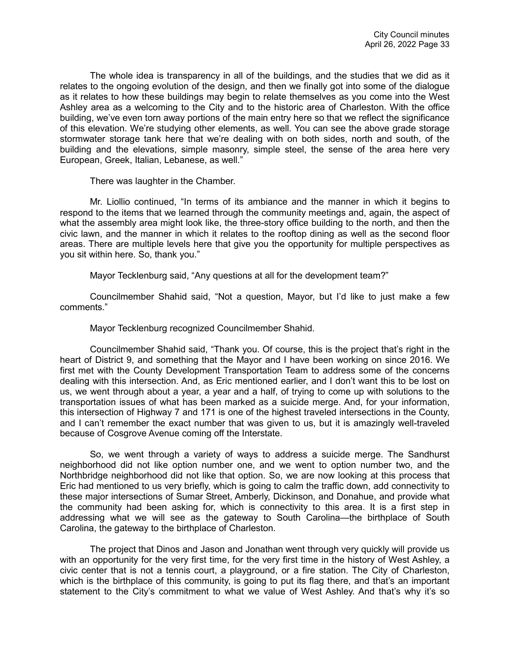The whole idea is transparency in all of the buildings, and the studies that we did as it relates to the ongoing evolution of the design, and then we finally got into some of the dialogue as it relates to how these buildings may begin to relate themselves as you come into the West Ashley area as a welcoming to the City and to the historic area of Charleston. With the office building, we've even torn away portions of the main entry here so that we reflect the significance of this elevation. We're studying other elements, as well. You can see the above grade storage stormwater storage tank here that we're dealing with on both sides, north and south, of the building and the elevations, simple masonry, simple steel, the sense of the area here very European, Greek, Italian, Lebanese, as well."

There was laughter in the Chamber.

Mr. Liollio continued, "In terms of its ambiance and the manner in which it begins to respond to the items that we learned through the community meetings and, again, the aspect of what the assembly area might look like, the three-story office building to the north, and then the civic lawn, and the manner in which it relates to the rooftop dining as well as the second floor areas. There are multiple levels here that give you the opportunity for multiple perspectives as you sit within here. So, thank you."

Mayor Tecklenburg said, "Any questions at all for the development team?"

Councilmember Shahid said, "Not a question, Mayor, but I'd like to just make a few comments."

Mayor Tecklenburg recognized Councilmember Shahid.

Councilmember Shahid said, "Thank you. Of course, this is the project that's right in the heart of District 9, and something that the Mayor and I have been working on since 2016. We first met with the County Development Transportation Team to address some of the concerns dealing with this intersection. And, as Eric mentioned earlier, and I don't want this to be lost on us, we went through about a year, a year and a half, of trying to come up with solutions to the transportation issues of what has been marked as a suicide merge. And, for your information, this intersection of Highway 7 and 171 is one of the highest traveled intersections in the County, and I can't remember the exact number that was given to us, but it is amazingly well-traveled because of Cosgrove Avenue coming off the Interstate.

So, we went through a variety of ways to address a suicide merge. The Sandhurst neighborhood did not like option number one, and we went to option number two, and the Northbridge neighborhood did not like that option. So, we are now looking at this process that Eric had mentioned to us very briefly, which is going to calm the traffic down, add connectivity to these major intersections of Sumar Street, Amberly, Dickinson, and Donahue, and provide what the community had been asking for, which is connectivity to this area. It is a first step in addressing what we will see as the gateway to South Carolina—the birthplace of South Carolina, the gateway to the birthplace of Charleston.

The project that Dinos and Jason and Jonathan went through very quickly will provide us with an opportunity for the very first time, for the very first time in the history of West Ashley, a civic center that is not a tennis court, a playground, or a fire station. The City of Charleston, which is the birthplace of this community, is going to put its flag there, and that's an important statement to the City's commitment to what we value of West Ashley. And that's why it's so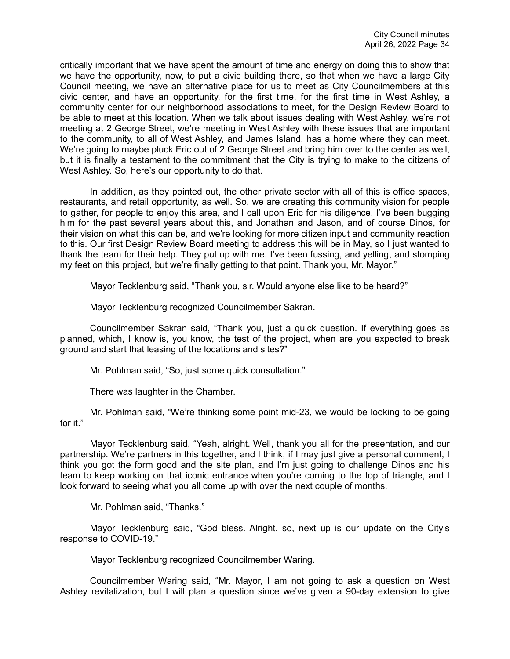critically important that we have spent the amount of time and energy on doing this to show that we have the opportunity, now, to put a civic building there, so that when we have a large City Council meeting, we have an alternative place for us to meet as City Councilmembers at this civic center, and have an opportunity, for the first time, for the first time in West Ashley, a community center for our neighborhood associations to meet, for the Design Review Board to be able to meet at this location. When we talk about issues dealing with West Ashley, we're not meeting at 2 George Street, we're meeting in West Ashley with these issues that are important to the community, to all of West Ashley, and James Island, has a home where they can meet. We're going to maybe pluck Eric out of 2 George Street and bring him over to the center as well, but it is finally a testament to the commitment that the City is trying to make to the citizens of West Ashley. So, here's our opportunity to do that.

In addition, as they pointed out, the other private sector with all of this is office spaces, restaurants, and retail opportunity, as well. So, we are creating this community vision for people to gather, for people to enjoy this area, and I call upon Eric for his diligence. I've been bugging him for the past several years about this, and Jonathan and Jason, and of course Dinos, for their vision on what this can be, and we're looking for more citizen input and community reaction to this. Our first Design Review Board meeting to address this will be in May, so I just wanted to thank the team for their help. They put up with me. I've been fussing, and yelling, and stomping my feet on this project, but we're finally getting to that point. Thank you, Mr. Mayor."

Mayor Tecklenburg said, "Thank you, sir. Would anyone else like to be heard?"

Mayor Tecklenburg recognized Councilmember Sakran.

Councilmember Sakran said, "Thank you, just a quick question. If everything goes as planned, which, I know is, you know, the test of the project, when are you expected to break ground and start that leasing of the locations and sites?"

Mr. Pohlman said, "So, just some quick consultation."

There was laughter in the Chamber.

Mr. Pohlman said, "We're thinking some point mid-23, we would be looking to be going for it."

Mayor Tecklenburg said, "Yeah, alright. Well, thank you all for the presentation, and our partnership. We're partners in this together, and I think, if I may just give a personal comment, I think you got the form good and the site plan, and I'm just going to challenge Dinos and his team to keep working on that iconic entrance when you're coming to the top of triangle, and I look forward to seeing what you all come up with over the next couple of months.

Mr. Pohlman said, "Thanks."

Mayor Tecklenburg said, "God bless. Alright, so, next up is our update on the City's response to COVID-19."

Mayor Tecklenburg recognized Councilmember Waring.

Councilmember Waring said, "Mr. Mayor, I am not going to ask a question on West Ashley revitalization, but I will plan a question since we've given a 90-day extension to give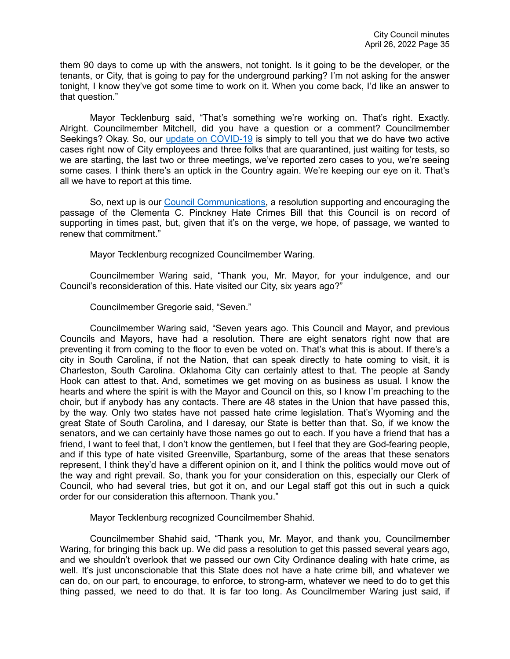them 90 days to come up with the answers, not tonight. Is it going to be the developer, or the tenants, or City, that is going to pay for the underground parking? I'm not asking for the answer tonight, I know they've got some time to work on it. When you come back, I'd like an answer to that question."

Mayor Tecklenburg said, "That's something we're working on. That's right. Exactly. Alright. Councilmember Mitchell, did you have a question or a comment? Councilmember Seekings? Okay. So, our [update on COVID-19](https://youtu.be/iZmTRv8HbBI?t=7452) is simply to tell you that we do have two active cases right now of City employees and three folks that are quarantined, just waiting for tests, so we are starting, the last two or three meetings, we've reported zero cases to you, we're seeing some cases. I think there's an uptick in the Country again. We're keeping our eye on it. That's all we have to report at this time.

So, next up is our [Council Communications,](https://youtu.be/iZmTRv8HbBI?t=7480) a resolution supporting and encouraging the passage of the Clementa C. Pinckney Hate Crimes Bill that this Council is on record of supporting in times past, but, given that it's on the verge, we hope, of passage, we wanted to renew that commitment."

Mayor Tecklenburg recognized Councilmember Waring.

Councilmember Waring said, "Thank you, Mr. Mayor, for your indulgence, and our Council's reconsideration of this. Hate visited our City, six years ago?"

Councilmember Gregorie said, "Seven."

Councilmember Waring said, "Seven years ago. This Council and Mayor, and previous Councils and Mayors, have had a resolution. There are eight senators right now that are preventing it from coming to the floor to even be voted on. That's what this is about. If there's a city in South Carolina, if not the Nation, that can speak directly to hate coming to visit, it is Charleston, South Carolina. Oklahoma City can certainly attest to that. The people at Sandy Hook can attest to that. And, sometimes we get moving on as business as usual. I know the hearts and where the spirit is with the Mayor and Council on this, so I know I'm preaching to the choir, but if anybody has any contacts. There are 48 states in the Union that have passed this, by the way. Only two states have not passed hate crime legislation. That's Wyoming and the great State of South Carolina, and I daresay, our State is better than that. So, if we know the senators, and we can certainly have those names go out to each. If you have a friend that has a friend, I want to feel that, I don't know the gentlemen, but I feel that they are God-fearing people, and if this type of hate visited Greenville, Spartanburg, some of the areas that these senators represent, I think they'd have a different opinion on it, and I think the politics would move out of the way and right prevail. So, thank you for your consideration on this, especially our Clerk of Council, who had several tries, but got it on, and our Legal staff got this out in such a quick order for our consideration this afternoon. Thank you."

Mayor Tecklenburg recognized Councilmember Shahid.

Councilmember Shahid said, "Thank you, Mr. Mayor, and thank you, Councilmember Waring, for bringing this back up. We did pass a resolution to get this passed several years ago, and we shouldn't overlook that we passed our own City Ordinance dealing with hate crime, as well. It's just unconscionable that this State does not have a hate crime bill, and whatever we can do, on our part, to encourage, to enforce, to strong-arm, whatever we need to do to get this thing passed, we need to do that. It is far too long. As Councilmember Waring just said, if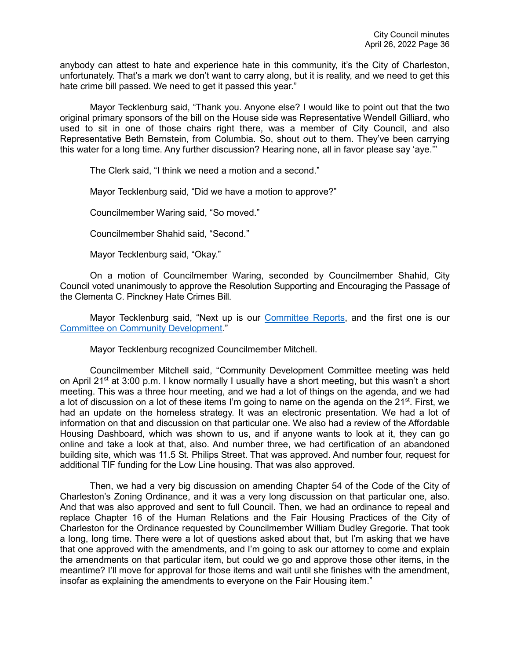anybody can attest to hate and experience hate in this community, it's the City of Charleston, unfortunately. That's a mark we don't want to carry along, but it is reality, and we need to get this hate crime bill passed. We need to get it passed this year."

Mayor Tecklenburg said, "Thank you. Anyone else? I would like to point out that the two original primary sponsors of the bill on the House side was Representative Wendell Gilliard, who used to sit in one of those chairs right there, was a member of City Council, and also Representative Beth Bernstein, from Columbia. So, shout *o*ut to them. They've been carrying this water for a long time. Any further discussion? Hearing none, all in favor please say 'aye.'"

The Clerk said, "I think we need a motion and a second."

Mayor Tecklenburg said, "Did we have a motion to approve?"

Councilmember Waring said, "So moved."

Councilmember Shahid said, "Second."

Mayor Tecklenburg said, "Okay."

On a motion of Councilmember Waring, seconded by Councilmember Shahid, City Council voted unanimously to approve the Resolution Supporting and Encouraging the Passage of the Clementa C. Pinckney Hate Crimes Bill.

Mayor Tecklenburg said, "Next up is our [Committee Reports,](https://youtu.be/iZmTRv8HbBI?t=7728) and the first one is our [Committee on Community Development.](https://youtu.be/iZmTRv8HbBI?t=7732)"

Mayor Tecklenburg recognized Councilmember Mitchell.

Councilmember Mitchell said, "Community Development Committee meeting was held on April 21<sup>st</sup> at 3:00 p.m. I know normally I usually have a short meeting, but this wasn't a short meeting. This was a three hour meeting, and we had a lot of things on the agenda, and we had a lot of discussion on a lot of these items I'm going to name on the agenda on the 21<sup>st</sup>. First, we had an update on the homeless strategy. It was an electronic presentation. We had a lot of information on that and discussion on that particular one. We also had a review of the Affordable Housing Dashboard, which was shown to us, and if anyone wants to look at it, they can go online and take a look at that, also. And number three, we had certification of an abandoned building site, which was 11.5 St. Philips Street. That was approved. And number four, request for additional TIF funding for the Low Line housing. That was also approved.

Then, we had a very big discussion on amending Chapter 54 of the Code of the City of Charleston's Zoning Ordinance, and it was a very long discussion on that particular one, also. And that was also approved and sent to full Council. Then, we had an ordinance to repeal and replace Chapter 16 of the Human Relations and the Fair Housing Practices of the City of Charleston for the Ordinance requested by Councilmember William Dudley Gregorie. That took a long, long time. There were a lot of questions asked about that, but I'm asking that we have that one approved with the amendments, and I'm going to ask our attorney to come and explain the amendments on that particular item, but could we go and approve those other items, in the meantime? I'll move for approval for those items and wait until she finishes with the amendment, insofar as explaining the amendments to everyone on the Fair Housing item."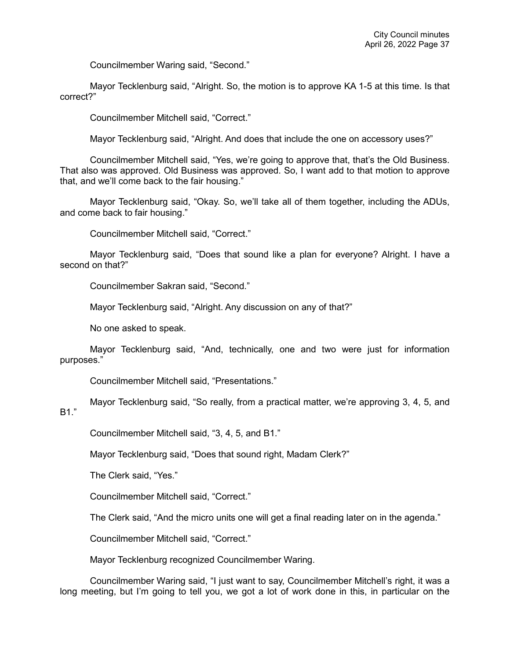Councilmember Waring said, "Second."

Mayor Tecklenburg said, "Alright. So, the motion is to approve KA 1-5 at this time. Is that correct?"

Councilmember Mitchell said, "Correct."

Mayor Tecklenburg said, "Alright. And does that include the one on accessory uses?"

Councilmember Mitchell said, "Yes, we're going to approve that, that's the Old Business. That also was approved. Old Business was approved. So, I want add to that motion to approve that, and we'll come back to the fair housing."

Mayor Tecklenburg said, "Okay. So, we'll take all of them together, including the ADUs, and come back to fair housing."

Councilmember Mitchell said, "Correct."

Mayor Tecklenburg said, "Does that sound like a plan for everyone? Alright. I have a second on that?"

Councilmember Sakran said, "Second."

Mayor Tecklenburg said, "Alright. Any discussion on any of that?"

No one asked to speak.

Mayor Tecklenburg said, "And, technically, one and two were just for information purposes."

Councilmember Mitchell said, "Presentations."

Mayor Tecklenburg said, "So really, from a practical matter, we're approving 3, 4, 5, and B1."

Councilmember Mitchell said, "3, 4, 5, and B1."

Mayor Tecklenburg said, "Does that sound right, Madam Clerk?"

The Clerk said, "Yes."

Councilmember Mitchell said, "Correct."

The Clerk said, "And the micro units one will get a final reading later on in the agenda."

Councilmember Mitchell said, "Correct."

Mayor Tecklenburg recognized Councilmember Waring.

Councilmember Waring said, "I just want to say, Councilmember Mitchell's right, it was a long meeting, but I'm going to tell you, we got a lot of work done in this, in particular on the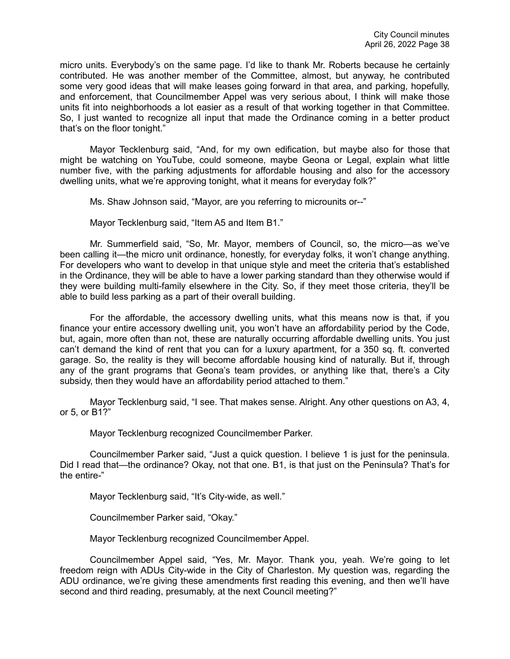micro units. Everybody's on the same page. I'd like to thank Mr. Roberts because he certainly contributed. He was another member of the Committee, almost, but anyway, he contributed some very good ideas that will make leases going forward in that area, and parking, hopefully, and enforcement, that Councilmember Appel was very serious about, I think will make those units fit into neighborhoods a lot easier as a result of that working together in that Committee. So, I just wanted to recognize all input that made the Ordinance coming in a better product that's on the floor tonight."

Mayor Tecklenburg said, "And, for my own edification, but maybe also for those that might be watching on YouTube, could someone, maybe Geona or Legal, explain what little number five, with the parking adjustments for affordable housing and also for the accessory dwelling units, what we're approving tonight, what it means for everyday folk?"

Ms. Shaw Johnson said, "Mayor, are you referring to microunits or--"

Mayor Tecklenburg said, "Item A5 and Item B1."

Mr. Summerfield said, "So, Mr. Mayor, members of Council, so, the micro—as we've been calling it—the micro unit ordinance, honestly, for everyday folks, it won't change anything. For developers who want to develop in that unique style and meet the criteria that's established in the Ordinance, they will be able to have a lower parking standard than they otherwise would if they were building multi-family elsewhere in the City. So, if they meet those criteria, they'll be able to build less parking as a part of their overall building.

For the affordable, the accessory dwelling units, what this means now is that, if you finance your entire accessory dwelling unit, you won't have an affordability period by the Code, but, again, more often than not, these are naturally occurring affordable dwelling units. You just can't demand the kind of rent that you can for a luxury apartment, for a 350 sq. ft. converted garage. So, the reality is they will become affordable housing kind of naturally. But if, through any of the grant programs that Geona's team provides, or anything like that, there's a City subsidy, then they would have an affordability period attached to them."

Mayor Tecklenburg said, "I see. That makes sense. Alright. Any other questions on A3, 4, or 5, or B1?"

Mayor Tecklenburg recognized Councilmember Parker.

Councilmember Parker said, "Just a quick question. I believe 1 is just for the peninsula. Did I read that—the ordinance? Okay, not that one. B1, is that just on the Peninsula? That's for the entire-"

Mayor Tecklenburg said, "It's City-wide, as well."

Councilmember Parker said, "Okay."

Mayor Tecklenburg recognized Councilmember Appel.

Councilmember Appel said, "Yes, Mr. Mayor. Thank you, yeah. We're going to let freedom reign with ADUs City-wide in the City of Charleston. My question was, regarding the ADU ordinance, we're giving these amendments first reading this evening, and then we'll have second and third reading, presumably, at the next Council meeting?"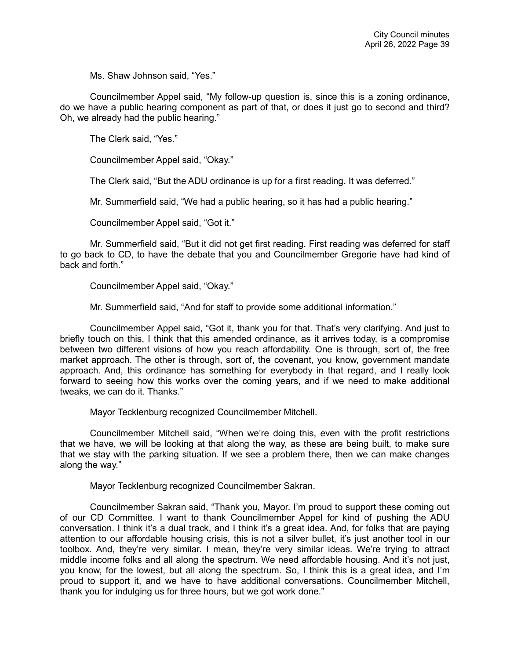Ms. Shaw Johnson said, "Yes."

Councilmember Appel said, "My follow-up question is, since this is a zoning ordinance, do we have a public hearing component as part of that, or does it just go to second and third? Oh, we already had the public hearing."

The Clerk said, "Yes."

Councilmember Appel said, "Okay."

The Clerk said, "But the ADU ordinance is up for a first reading. It was deferred."

Mr. Summerfield said, "We had a public hearing, so it has had a public hearing."

Councilmember Appel said, "Got it."

Mr. Summerfield said, "But it did not get first reading. First reading was deferred for staff to go back to CD, to have the debate that you and Councilmember Gregorie have had kind of back and forth."

Councilmember Appel said, "Okay."

Mr. Summerfield said, "And for staff to provide some additional information."

Councilmember Appel said, "Got it, thank you for that. That's very clarifying. And just to briefly touch on this, I think that this amended ordinance, as it arrives today, is a compromise between two different visions of how you reach affordability. One is through, sort of, the free market approach. The other is through, sort of, the covenant, you know, government mandate approach. And, this ordinance has something for everybody in that regard, and I really look forward to seeing how this works over the coming years, and if we need to make additional tweaks, we can do it. Thanks."

Mayor Tecklenburg recognized Councilmember Mitchell.

Councilmember Mitchell said, "When we're doing this, even with the profit restrictions that we have, we will be looking at that along the way, as these are being built, to make sure that we stay with the parking situation. If we see a problem there, then we can make changes along the way."

Mayor Tecklenburg recognized Councilmember Sakran.

Councilmember Sakran said, "Thank you, Mayor. I'm proud to support these coming out of our CD Committee. I want to thank Councilmember Appel for kind of pushing the ADU conversation. I think it's a dual track, and I think it's a great idea. And, for folks that are paying attention to our affordable housing crisis, this is not a silver bullet, it's just another tool in our toolbox. And, they're very similar. I mean, they're very similar ideas. We're trying to attract middle income folks and all along the spectrum. We need affordable housing. And it's not just, you know, for the lowest, but all along the spectrum. So, I think this is a great idea, and I'm proud to support it, and we have to have additional conversations. Councilmember Mitchell, thank you for indulging us for three hours, but we got work done."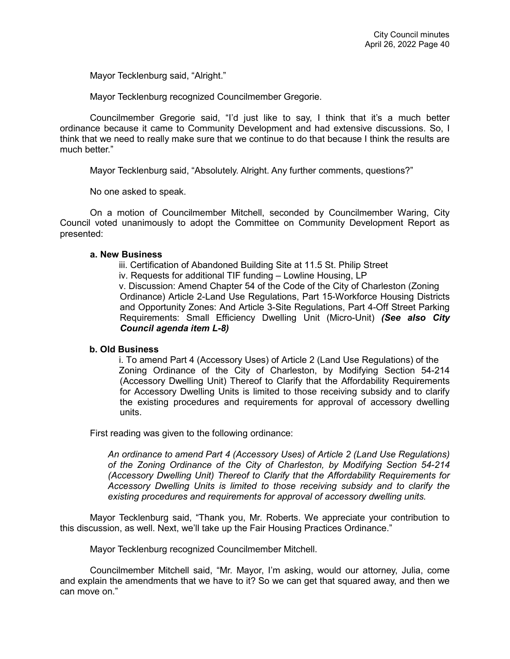Mayor Tecklenburg said, "Alright."

Mayor Tecklenburg recognized Councilmember Gregorie.

Councilmember Gregorie said, "I'd just like to say, I think that it's a much better ordinance because it came to Community Development and had extensive discussions. So, I think that we need to really make sure that we continue to do that because I think the results are much better."

Mayor Tecklenburg said, "Absolutely. Alright. Any further comments, questions?"

No one asked to speak.

On a motion of Councilmember Mitchell, seconded by Councilmember Waring, City Council voted unanimously to adopt the Committee on Community Development Report as presented:

### **a. New Business**

- iii. Certification of Abandoned Building Site at 11.5 St. Philip Street
- iv. Requests for additional TIF funding Lowline Housing, LP

v. Discussion: Amend Chapter 54 of the Code of the City of Charleston (Zoning Ordinance) Article 2-Land Use Regulations, Part 15-Workforce Housing Districts and Opportunity Zones: And Article 3-Site Regulations, Part 4-Off Street Parking Requirements: Small Efficiency Dwelling Unit (Micro-Unit) *(See also City Council agenda item L-8)*

### **b. Old Business**

i. To amend Part 4 (Accessory Uses) of Article 2 (Land Use Regulations) of the Zoning Ordinance of the City of Charleston, by Modifying Section 54-214 (Accessory Dwelling Unit) Thereof to Clarify that the Affordability Requirements for Accessory Dwelling Units is limited to those receiving subsidy and to clarify the existing procedures and requirements for approval of accessory dwelling units.

First reading was given to the following ordinance:

*An ordinance to amend Part 4 (Accessory Uses) of Article 2 (Land Use Regulations) of the Zoning Ordinance of the City of Charleston, by Modifying Section 54-214 (Accessory Dwelling Unit) Thereof to Clarify that the Affordability Requirements for Accessory Dwelling Units is limited to those receiving subsidy and to clarify the existing procedures and requirements for approval of accessory dwelling units.*

Mayor Tecklenburg said, "Thank you, Mr. Roberts. We appreciate your contribution to this discussion, as well. Next, we'll take up the Fair Housing Practices Ordinance."

Mayor Tecklenburg recognized Councilmember Mitchell.

Councilmember Mitchell said, "Mr. Mayor, I'm asking, would our attorney, Julia, come and explain the amendments that we have to it? So we can get that squared away, and then we can move on."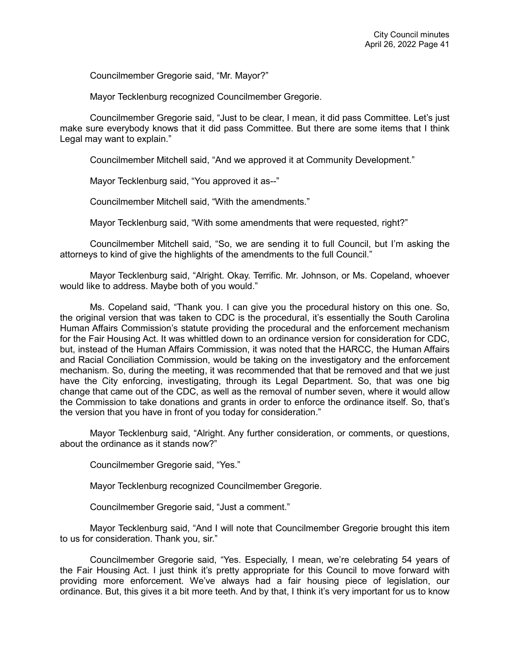Councilmember Gregorie said, "Mr. Mayor?"

Mayor Tecklenburg recognized Councilmember Gregorie.

Councilmember Gregorie said, "Just to be clear, I mean, it did pass Committee. Let's just make sure everybody knows that it did pass Committee. But there are some items that I think Legal may want to explain."

Councilmember Mitchell said, "And we approved it at Community Development."

Mayor Tecklenburg said, "You approved it as--"

Councilmember Mitchell said, "With the amendments."

Mayor Tecklenburg said, "With some amendments that were requested, right?"

Councilmember Mitchell said, "So, we are sending it to full Council, but I'm asking the attorneys to kind of give the highlights of the amendments to the full Council."

Mayor Tecklenburg said, "Alright. Okay. Terrific. Mr. Johnson, or Ms. Copeland, whoever would like to address. Maybe both of you would."

Ms. Copeland said, "Thank you. I can give you the procedural history on this one. So, the original version that was taken to CDC is the procedural, it's essentially the South Carolina Human Affairs Commission's statute providing the procedural and the enforcement mechanism for the Fair Housing Act. It was whittled down to an ordinance version for consideration for CDC, but, instead of the Human Affairs Commission, it was noted that the HARCC, the Human Affairs and Racial Conciliation Commission, would be taking on the investigatory and the enforcement mechanism. So, during the meeting, it was recommended that that be removed and that we just have the City enforcing, investigating, through its Legal Department. So, that was one big change that came out of the CDC, as well as the removal of number seven, where it would allow the Commission to take donations and grants in order to enforce the ordinance itself. So, that's the version that you have in front of you today for consideration."

Mayor Tecklenburg said, "Alright. Any further consideration, or comments, or questions, about the ordinance as it stands now?"

Councilmember Gregorie said, "Yes."

Mayor Tecklenburg recognized Councilmember Gregorie.

Councilmember Gregorie said, "Just a comment."

Mayor Tecklenburg said, "And I will note that Councilmember Gregorie brought this item to us for consideration. Thank you, sir."

Councilmember Gregorie said, "Yes. Especially, I mean, we're celebrating 54 years of the Fair Housing Act. I just think it's pretty appropriate for this Council to move forward with providing more enforcement. We've always had a fair housing piece of legislation, our ordinance. But, this gives it a bit more teeth. And by that, I think it's very important for us to know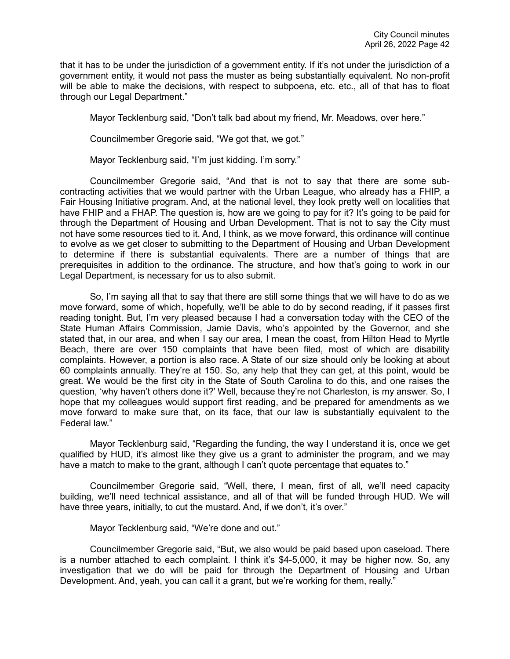that it has to be under the jurisdiction of a government entity. If it's not under the jurisdiction of a government entity, it would not pass the muster as being substantially equivalent. No non-profit will be able to make the decisions, with respect to subpoena, etc. etc., all of that has to float through our Legal Department."

Mayor Tecklenburg said, "Don't talk bad about my friend, Mr. Meadows, over here."

Councilmember Gregorie said, "We got that, we got."

Mayor Tecklenburg said, "I'm just kidding. I'm sorry."

Councilmember Gregorie said, "And that is not to say that there are some subcontracting activities that we would partner with the Urban League, who already has a FHIP, a Fair Housing Initiative program. And, at the national level, they look pretty well on localities that have FHIP and a FHAP. The question is, how are we going to pay for it? It's going to be paid for through the Department of Housing and Urban Development. That is not to say the City must not have some resources tied to it. And, I think, as we move forward, this ordinance will continue to evolve as we get closer to submitting to the Department of Housing and Urban Development to determine if there is substantial equivalents. There are a number of things that are prerequisites in addition to the ordinance. The structure, and how that's going to work in our Legal Department, is necessary for us to also submit.

So, I'm saying all that to say that there are still some things that we will have to do as we move forward, some of which, hopefully, we'll be able to do by second reading, if it passes first reading tonight. But, I'm very pleased because I had a conversation today with the CEO of the State Human Affairs Commission, Jamie Davis, who's appointed by the Governor, and she stated that, in our area, and when I say our area, I mean the coast, from Hilton Head to Myrtle Beach, there are over 150 complaints that have been filed, most of which are disability complaints. However, a portion is also race. A State of our size should only be looking at about 60 complaints annually. They're at 150. So, any help that they can get, at this point, would be great. We would be the first city in the State of South Carolina to do this, and one raises the question, 'why haven't others done it?' Well, because they're not Charleston, is my answer. So, I hope that my colleagues would support first reading, and be prepared for amendments as we move forward to make sure that, on its face, that our law is substantially equivalent to the Federal law."

Mayor Tecklenburg said, "Regarding the funding, the way I understand it is, once we get qualified by HUD, it's almost like they give us a grant to administer the program, and we may have a match to make to the grant, although I can't quote percentage that equates to."

Councilmember Gregorie said, "Well, there, I mean, first of all, we'll need capacity building, we'll need technical assistance, and all of that will be funded through HUD. We will have three years, initially, to cut the mustard. And, if we don't, it's over."

Mayor Tecklenburg said, "We're done and out."

Councilmember Gregorie said, "But, we also would be paid based upon caseload. There is a number attached to each complaint. I think it's \$4-5,000, it may be higher now. So, any investigation that we do will be paid for through the Department of Housing and Urban Development. And, yeah, you can call it a grant, but we're working for them, really."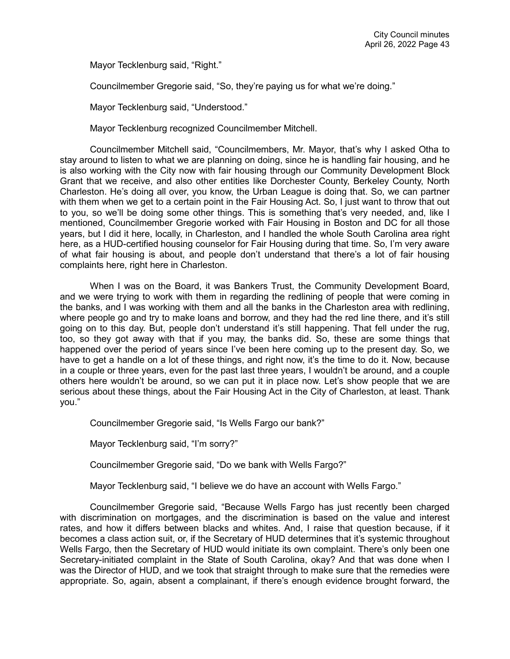Mayor Tecklenburg said, "Right."

Councilmember Gregorie said, "So, they're paying us for what we're doing."

Mayor Tecklenburg said, "Understood."

Mayor Tecklenburg recognized Councilmember Mitchell.

Councilmember Mitchell said, "Councilmembers, Mr. Mayor, that's why I asked Otha to stay around to listen to what we are planning on doing, since he is handling fair housing, and he is also working with the City now with fair housing through our Community Development Block Grant that we receive, and also other entities like Dorchester County, Berkeley County, North Charleston. He's doing all over, you know, the Urban League is doing that. So, we can partner with them when we get to a certain point in the Fair Housing Act. So, I just want to throw that out to you, so we'll be doing some other things. This is something that's very needed, and, like I mentioned, Councilmember Gregorie worked with Fair Housing in Boston and DC for all those years, but I did it here, locally, in Charleston, and I handled the whole South Carolina area right here, as a HUD-certified housing counselor for Fair Housing during that time. So, I'm very aware of what fair housing is about, and people don't understand that there's a lot of fair housing complaints here, right here in Charleston.

When I was on the Board, it was Bankers Trust, the Community Development Board, and we were trying to work with them in regarding the redlining of people that were coming in the banks, and I was working with them and all the banks in the Charleston area with redlining, where people go and try to make loans and borrow, and they had the red line there, and it's still going on to this day. But, people don't understand it's still happening. That fell under the rug, too, so they got away with that if you may, the banks did. So, these are some things that happened over the period of years since I've been here coming up to the present day. So, we have to get a handle on a lot of these things, and right now, it's the time to do it. Now, because in a couple or three years, even for the past last three years, I wouldn't be around, and a couple others here wouldn't be around, so we can put it in place now. Let's show people that we are serious about these things, about the Fair Housing Act in the City of Charleston, at least. Thank you."

Councilmember Gregorie said, "Is Wells Fargo our bank?"

Mayor Tecklenburg said, "I'm sorry?"

Councilmember Gregorie said, "Do we bank with Wells Fargo?"

Mayor Tecklenburg said, "I believe we do have an account with Wells Fargo."

Councilmember Gregorie said, "Because Wells Fargo has just recently been charged with discrimination on mortgages, and the discrimination is based on the value and interest rates, and how it differs between blacks and whites. And, I raise that question because, if it becomes a class action suit, or, if the Secretary of HUD determines that it's systemic throughout Wells Fargo, then the Secretary of HUD would initiate its own complaint. There's only been one Secretary-initiated complaint in the State of South Carolina, okay? And that was done when I was the Director of HUD, and we took that straight through to make sure that the remedies were appropriate. So, again, absent a complainant, if there's enough evidence brought forward, the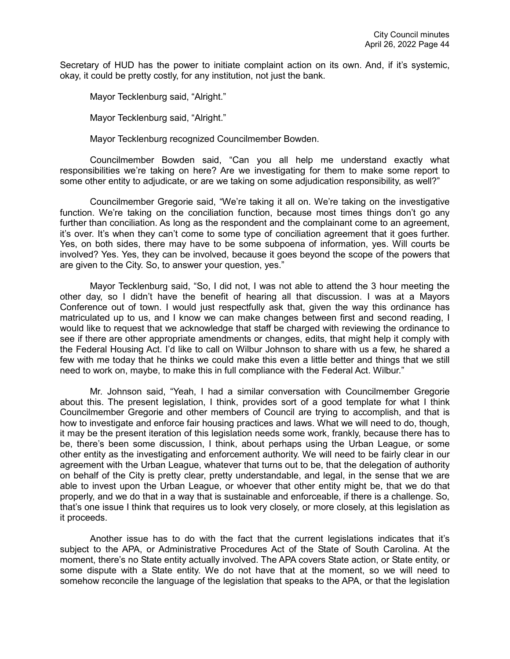Secretary of HUD has the power to initiate complaint action on its own. And, if it's systemic, okay, it could be pretty costly, for any institution, not just the bank.

Mayor Tecklenburg said, "Alright."

Mayor Tecklenburg said, "Alright."

Mayor Tecklenburg recognized Councilmember Bowden.

Councilmember Bowden said, "Can you all help me understand exactly what responsibilities we're taking on here? Are we investigating for them to make some report to some other entity to adjudicate, or are we taking on some adjudication responsibility, as well?"

Councilmember Gregorie said, "We're taking it all on. We're taking on the investigative function. We're taking on the conciliation function, because most times things don't go any further than conciliation. As long as the respondent and the complainant come to an agreement, it's over. It's when they can't come to some type of conciliation agreement that it goes further. Yes, on both sides, there may have to be some subpoena of information, yes. Will courts be involved? Yes. Yes, they can be involved, because it goes beyond the scope of the powers that are given to the City. So, to answer your question, yes."

Mayor Tecklenburg said, "So, I did not, I was not able to attend the 3 hour meeting the other day, so I didn't have the benefit of hearing all that discussion. I was at a Mayors Conference out of town. I would just respectfully ask that, given the way this ordinance has matriculated up to us, and I know we can make changes between first and second reading, I would like to request that we acknowledge that staff be charged with reviewing the ordinance to see if there are other appropriate amendments or changes, edits, that might help it comply with the Federal Housing Act. I'd like to call on Wilbur Johnson to share with us a few, he shared a few with me today that he thinks we could make this even a little better and things that we still need to work on, maybe, to make this in full compliance with the Federal Act. Wilbur."

Mr. Johnson said, "Yeah, I had a similar conversation with Councilmember Gregorie about this. The present legislation, I think, provides sort of a good template for what I think Councilmember Gregorie and other members of Council are trying to accomplish, and that is how to investigate and enforce fair housing practices and laws. What we will need to do, though, it may be the present iteration of this legislation needs some work, frankly, because there has to be, there's been some discussion, I think, about perhaps using the Urban League, or some other entity as the investigating and enforcement authority. We will need to be fairly clear in our agreement with the Urban League, whatever that turns out to be, that the delegation of authority on behalf of the City is pretty clear, pretty understandable, and legal, in the sense that we are able to invest upon the Urban League, or whoever that other entity might be, that we do that properly, and we do that in a way that is sustainable and enforceable, if there is a challenge. So, that's one issue I think that requires us to look very closely, or more closely, at this legislation as it proceeds.

Another issue has to do with the fact that the current legislations indicates that it's subject to the APA, or Administrative Procedures Act of the State of South Carolina. At the moment, there's no State entity actually involved. The APA covers State action, or State entity, or some dispute with a State entity. We do not have that at the moment, so we will need to somehow reconcile the language of the legislation that speaks to the APA, or that the legislation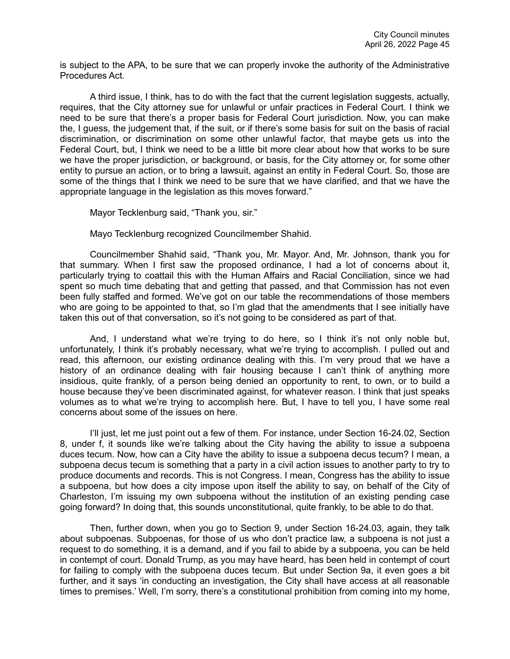is subject to the APA, to be sure that we can properly invoke the authority of the Administrative Procedures Act.

A third issue, I think, has to do with the fact that the current legislation suggests, actually, requires, that the City attorney sue for unlawful or unfair practices in Federal Court. I think we need to be sure that there's a proper basis for Federal Court jurisdiction. Now, you can make the, I guess, the judgement that, if the suit, or if there's some basis for suit on the basis of racial discrimination, or discrimination on some other unlawful factor, that maybe gets us into the Federal Court, but, I think we need to be a little bit more clear about how that works to be sure we have the proper jurisdiction, or background, or basis, for the City attorney or, for some other entity to pursue an action, or to bring a lawsuit, against an entity in Federal Court. So, those are some of the things that I think we need to be sure that we have clarified, and that we have the appropriate language in the legislation as this moves forward."

Mayor Tecklenburg said, "Thank you, sir."

Mayo Tecklenburg recognized Councilmember Shahid.

Councilmember Shahid said, "Thank you, Mr. Mayor. And, Mr. Johnson, thank you for that summary. When I first saw the proposed ordinance, I had a lot of concerns about it, particularly trying to coattail this with the Human Affairs and Racial Conciliation, since we had spent so much time debating that and getting that passed, and that Commission has not even been fully staffed and formed. We've got on our table the recommendations of those members who are going to be appointed to that, so I'm glad that the amendments that I see initially have taken this out of that conversation, so it's not going to be considered as part of that.

And, I understand what we're trying to do here, so I think it's not only noble but, unfortunately, I think it's probably necessary, what we're trying to accomplish. I pulled out and read, this afternoon, our existing ordinance dealing with this. I'm very proud that we have a history of an ordinance dealing with fair housing because I can't think of anything more insidious, quite frankly, of a person being denied an opportunity to rent, to own, or to build a house because they've been discriminated against, for whatever reason. I think that just speaks volumes as to what we're trying to accomplish here. But, I have to tell you, I have some real concerns about some of the issues on here.

I'll just, let me just point out a few of them. For instance, under Section 16-24.02, Section 8, under f, it sounds like we're talking about the City having the ability to issue a subpoena duces tecum. Now, how can a City have the ability to issue a subpoena decus tecum? I mean, a subpoena decus tecum is something that a party in a civil action issues to another party to try to produce documents and records. This is not Congress. I mean, Congress has the ability to issue a subpoena, but how does a city impose upon itself the ability to say, on behalf of the City of Charleston, I'm issuing my own subpoena without the institution of an existing pending case going forward? In doing that, this sounds unconstitutional, quite frankly, to be able to do that.

Then, further down, when you go to Section 9, under Section 16-24.03, again, they talk about subpoenas. Subpoenas, for those of us who don't practice law, a subpoena is not just a request to do something, it is a demand, and if you fail to abide by a subpoena, you can be held in contempt of court. Donald Trump, as you may have heard, has been held in contempt of court for failing to comply with the subpoena duces tecum. But under Section 9a, it even goes a bit further, and it says 'in conducting an investigation, the City shall have access at all reasonable times to premises.' Well, I'm sorry, there's a constitutional prohibition from coming into my home,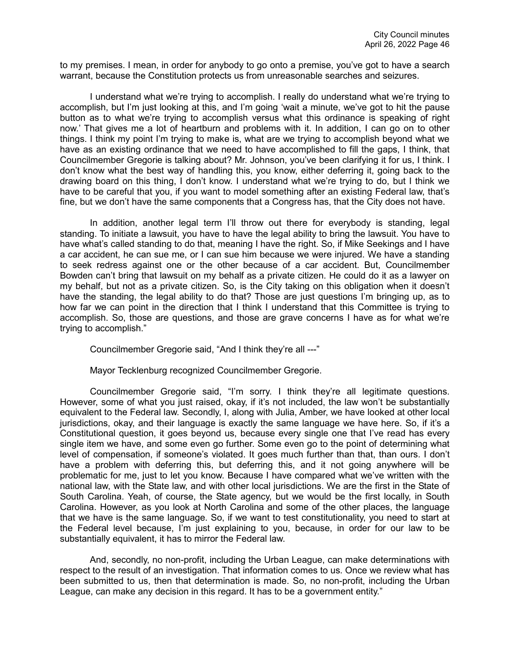to my premises. I mean, in order for anybody to go onto a premise, you've got to have a search warrant, because the Constitution protects us from unreasonable searches and seizures.

I understand what we're trying to accomplish. I really do understand what we're trying to accomplish, but I'm just looking at this, and I'm going 'wait a minute, we've got to hit the pause button as to what we're trying to accomplish versus what this ordinance is speaking of right now.' That gives me a lot of heartburn and problems with it. In addition, I can go on to other things. I think my point I'm trying to make is, what are we trying to accomplish beyond what we have as an existing ordinance that we need to have accomplished to fill the gaps, I think, that Councilmember Gregorie is talking about? Mr. Johnson, you've been clarifying it for us, I think. I don't know what the best way of handling this, you know, either deferring it, going back to the drawing board on this thing, I don't know. I understand what we're trying to do, but I think we have to be careful that you, if you want to model something after an existing Federal law, that's fine, but we don't have the same components that a Congress has, that the City does not have.

In addition, another legal term I'll throw out there for everybody is standing, legal standing. To initiate a lawsuit, you have to have the legal ability to bring the lawsuit. You have to have what's called standing to do that, meaning I have the right. So, if Mike Seekings and I have a car accident, he can sue me, or I can sue him because we were injured. We have a standing to seek redress against one or the other because of a car accident. But, Councilmember Bowden can't bring that lawsuit on my behalf as a private citizen. He could do it as a lawyer on my behalf, but not as a private citizen. So, is the City taking on this obligation when it doesn't have the standing, the legal ability to do that? Those are just questions I'm bringing up, as to how far we can point in the direction that I think I understand that this Committee is trying to accomplish. So, those are questions, and those are grave concerns I have as for what we're trying to accomplish."

Councilmember Gregorie said, "And I think they're all ---"

Mayor Tecklenburg recognized Councilmember Gregorie.

Councilmember Gregorie said, "I'm sorry. I think they're all legitimate questions. However, some of what you just raised, okay, if it's not included, the law won't be substantially equivalent to the Federal law. Secondly, I, along with Julia, Amber, we have looked at other local jurisdictions, okay, and their language is exactly the same language we have here. So, if it's a Constitutional question, it goes beyond us, because every single one that I've read has every single item we have, and some even go further. Some even go to the point of determining what level of compensation, if someone's violated. It goes much further than that, than ours. I don't have a problem with deferring this, but deferring this, and it not going anywhere will be problematic for me, just to let you know. Because I have compared what we've written with the national law, with the State law, and with other local jurisdictions. We are the first in the State of South Carolina. Yeah, of course, the State agency, but we would be the first locally, in South Carolina. However, as you look at North Carolina and some of the other places, the language that we have is the same language. So, if we want to test constitutionality, you need to start at the Federal level because, I'm just explaining to you, because, in order for our law to be substantially equivalent, it has to mirror the Federal law.

And, secondly, no non-profit, including the Urban League, can make determinations with respect to the result of an investigation. That information comes to us. Once we review what has been submitted to us, then that determination is made. So, no non-profit, including the Urban League, can make any decision in this regard. It has to be a government entity."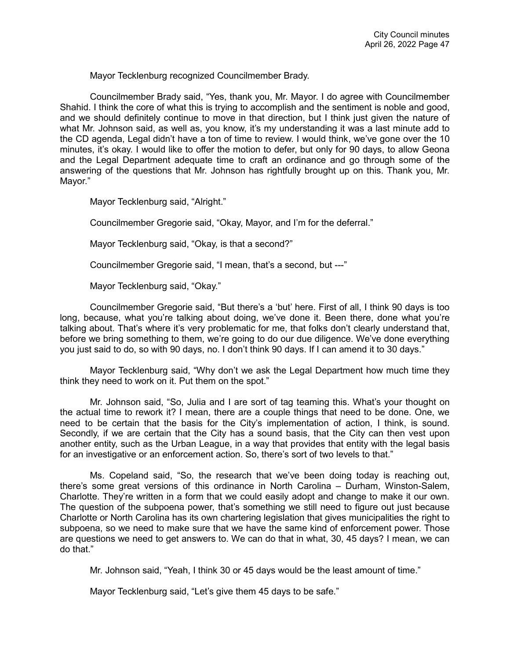Mayor Tecklenburg recognized Councilmember Brady.

Councilmember Brady said, "Yes, thank you, Mr. Mayor. I do agree with Councilmember Shahid. I think the core of what this is trying to accomplish and the sentiment is noble and good, and we should definitely continue to move in that direction, but I think just given the nature of what Mr. Johnson said, as well as, you know, it's my understanding it was a last minute add to the CD agenda, Legal didn't have a ton of time to review. I would think, we've gone over the 10 minutes, it's okay. I would like to offer the motion to defer, but only for 90 days, to allow Geona and the Legal Department adequate time to craft an ordinance and go through some of the answering of the questions that Mr. Johnson has rightfully brought up on this. Thank you, Mr. Mayor."

Mayor Tecklenburg said, "Alright."

Councilmember Gregorie said, "Okay, Mayor, and I'm for the deferral."

Mayor Tecklenburg said, "Okay, is that a second?"

Councilmember Gregorie said, "I mean, that's a second, but ---"

Mayor Tecklenburg said, "Okay."

Councilmember Gregorie said, "But there's a 'but' here. First of all, I think 90 days is too long, because, what you're talking about doing, we've done it. Been there, done what you're talking about. That's where it's very problematic for me, that folks don't clearly understand that, before we bring something to them, we're going to do our due diligence. We've done everything you just said to do, so with 90 days, no. I don't think 90 days. If I can amend it to 30 days."

Mayor Tecklenburg said, "Why don't we ask the Legal Department how much time they think they need to work on it. Put them on the spot."

Mr. Johnson said, "So, Julia and I are sort of tag teaming this. What's your thought on the actual time to rework it? I mean, there are a couple things that need to be done. One, we need to be certain that the basis for the City's implementation of action, I think, is sound. Secondly, if we are certain that the City has a sound basis, that the City can then vest upon another entity, such as the Urban League, in a way that provides that entity with the legal basis for an investigative or an enforcement action. So, there's sort of two levels to that."

Ms. Copeland said, "So, the research that we've been doing today is reaching out, there's some great versions of this ordinance in North Carolina – Durham, Winston-Salem, Charlotte. They're written in a form that we could easily adopt and change to make it our own. The question of the subpoena power, that's something we still need to figure out just because Charlotte or North Carolina has its own chartering legislation that gives municipalities the right to subpoena, so we need to make sure that we have the same kind of enforcement power. Those are questions we need to get answers to. We can do that in what, 30, 45 days? I mean, we can do that."

Mr. Johnson said, "Yeah, I think 30 or 45 days would be the least amount of time."

Mayor Tecklenburg said, "Let's give them 45 days to be safe."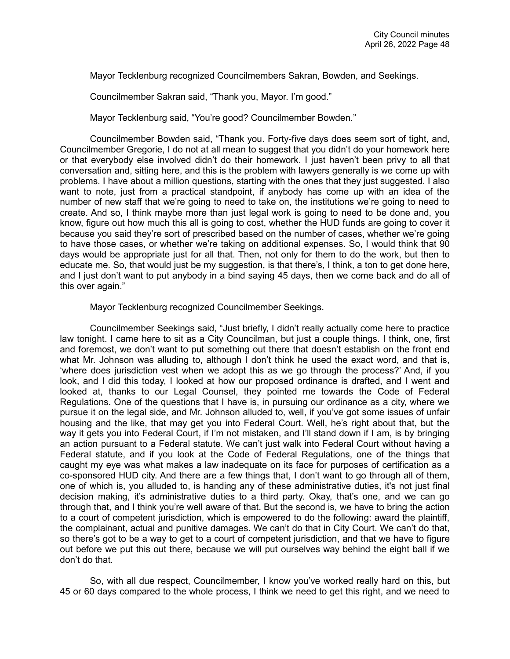Mayor Tecklenburg recognized Councilmembers Sakran, Bowden, and Seekings.

Councilmember Sakran said, "Thank you, Mayor. I'm good."

Mayor Tecklenburg said, "You're good? Councilmember Bowden."

Councilmember Bowden said, "Thank you. Forty-five days does seem sort of tight, and, Councilmember Gregorie, I do not at all mean to suggest that you didn't do your homework here or that everybody else involved didn't do their homework. I just haven't been privy to all that conversation and, sitting here, and this is the problem with lawyers generally is we come up with problems. I have about a million questions, starting with the ones that they just suggested. I also want to note, just from a practical standpoint, if anybody has come up with an idea of the number of new staff that we're going to need to take on, the institutions we're going to need to create. And so, I think maybe more than just legal work is going to need to be done and, you know, figure out how much this all is going to cost, whether the HUD funds are going to cover it because you said they're sort of prescribed based on the number of cases, whether we're going to have those cases, or whether we're taking on additional expenses. So, I would think that 90 days would be appropriate just for all that. Then, not only for them to do the work, but then to educate me. So, that would just be my suggestion, is that there's, I think, a ton to get done here, and I just don't want to put anybody in a bind saying 45 days, then we come back and do all of this over again."

Mayor Tecklenburg recognized Councilmember Seekings.

Councilmember Seekings said, "Just briefly, I didn't really actually come here to practice law tonight. I came here to sit as a City Councilman, but just a couple things. I think, one, first and foremost, we don't want to put something out there that doesn't establish on the front end what Mr. Johnson was alluding to, although I don't think he used the exact word, and that is, 'where does jurisdiction vest when we adopt this as we go through the process?' And, if you look, and I did this today, I looked at how our proposed ordinance is drafted, and I went and looked at, thanks to our Legal Counsel, they pointed me towards the Code of Federal Regulations. One of the questions that I have is, in pursuing our ordinance as a city, where we pursue it on the legal side, and Mr. Johnson alluded to, well, if you've got some issues of unfair housing and the like, that may get you into Federal Court. Well, he's right about that, but the way it gets you into Federal Court, if I'm not mistaken, and I'll stand down if I am, is by bringing an action pursuant to a Federal statute. We can't just walk into Federal Court without having a Federal statute, and if you look at the Code of Federal Regulations, one of the things that caught my eye was what makes a law inadequate on its face for purposes of certification as a co-sponsored HUD city. And there are a few things that, I don't want to go through all of them, one of which is, you alluded to, is handing any of these administrative duties, it's not just final decision making, it's administrative duties to a third party. Okay, that's one, and we can go through that, and I think you're well aware of that. But the second is, we have to bring the action to a court of competent jurisdiction, which is empowered to do the following: award the plaintiff, the complainant, actual and punitive damages. We can't do that in City Court. We can't do that, so there's got to be a way to get to a court of competent jurisdiction, and that we have to figure out before we put this out there, because we will put ourselves way behind the eight ball if we don't do that.

So, with all due respect, Councilmember, I know you've worked really hard on this, but 45 or 60 days compared to the whole process, I think we need to get this right, and we need to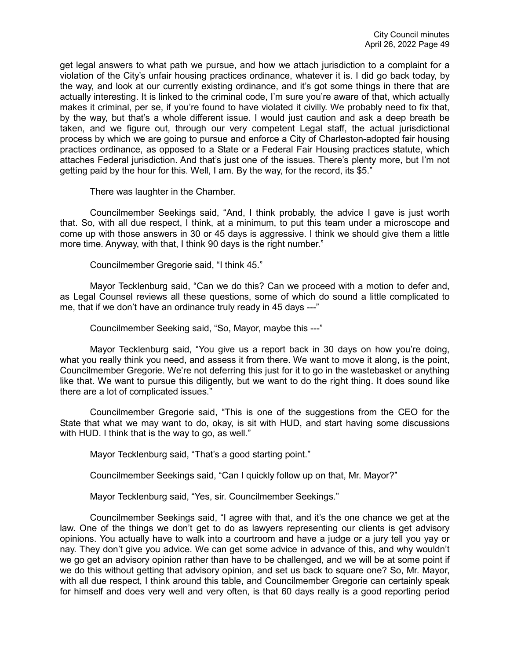get legal answers to what path we pursue, and how we attach jurisdiction to a complaint for a violation of the City's unfair housing practices ordinance, whatever it is. I did go back today, by the way, and look at our currently existing ordinance, and it's got some things in there that are actually interesting. It is linked to the criminal code, I'm sure you're aware of that, which actually makes it criminal, per se, if you're found to have violated it civilly. We probably need to fix that, by the way, but that's a whole different issue. I would just caution and ask a deep breath be taken, and we figure out, through our very competent Legal staff, the actual jurisdictional process by which we are going to pursue and enforce a City of Charleston-adopted fair housing practices ordinance, as opposed to a State or a Federal Fair Housing practices statute, which attaches Federal jurisdiction. And that's just one of the issues. There's plenty more, but I'm not getting paid by the hour for this. Well, I am. By the way, for the record, its \$5."

There was laughter in the Chamber.

Councilmember Seekings said, "And, I think probably, the advice I gave is just worth that. So, with all due respect, I think, at a minimum, to put this team under a microscope and come up with those answers in 30 or 45 days is aggressive. I think we should give them a little more time. Anyway, with that, I think 90 days is the right number."

Councilmember Gregorie said, "I think 45."

Mayor Tecklenburg said, "Can we do this? Can we proceed with a motion to defer and, as Legal Counsel reviews all these questions, some of which do sound a little complicated to me, that if we don't have an ordinance truly ready in 45 days ---"

Councilmember Seeking said, "So, Mayor, maybe this ---"

Mayor Tecklenburg said, "You give us a report back in 30 days on how you're doing, what you really think you need, and assess it from there. We want to move it along, is the point, Councilmember Gregorie. We're not deferring this just for it to go in the wastebasket or anything like that. We want to pursue this diligently, but we want to do the right thing. It does sound like there are a lot of complicated issues."

Councilmember Gregorie said, "This is one of the suggestions from the CEO for the State that what we may want to do, okay, is sit with HUD, and start having some discussions with HUD. I think that is the way to go, as well."

Mayor Tecklenburg said, "That's a good starting point."

Councilmember Seekings said, "Can I quickly follow up on that, Mr. Mayor?"

Mayor Tecklenburg said, "Yes, sir. Councilmember Seekings."

Councilmember Seekings said, "I agree with that, and it's the one chance we get at the law. One of the things we don't get to do as lawyers representing our clients is get advisory opinions. You actually have to walk into a courtroom and have a judge or a jury tell you yay or nay. They don't give you advice. We can get some advice in advance of this, and why wouldn't we go get an advisory opinion rather than have to be challenged, and we will be at some point if we do this without getting that advisory opinion, and set us back to square one? So, Mr. Mayor, with all due respect, I think around this table, and Councilmember Gregorie can certainly speak for himself and does very well and very often, is that 60 days really is a good reporting period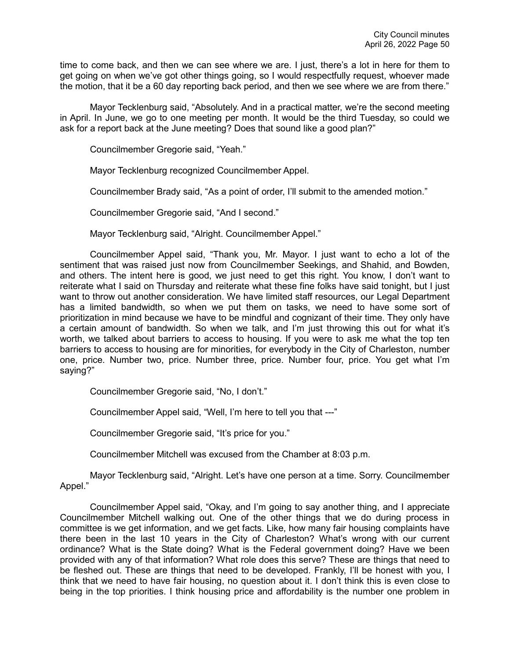time to come back, and then we can see where we are. I just, there's a lot in here for them to get going on when we've got other things going, so I would respectfully request, whoever made the motion, that it be a 60 day reporting back period, and then we see where we are from there."

Mayor Tecklenburg said, "Absolutely. And in a practical matter, we're the second meeting in April. In June, we go to one meeting per month. It would be the third Tuesday, so could we ask for a report back at the June meeting? Does that sound like a good plan?"

Councilmember Gregorie said, "Yeah."

Mayor Tecklenburg recognized Councilmember Appel.

Councilmember Brady said, "As a point of order, I'll submit to the amended motion."

Councilmember Gregorie said, "And I second."

Mayor Tecklenburg said, "Alright. Councilmember Appel."

Councilmember Appel said, "Thank you, Mr. Mayor. I just want to echo a lot of the sentiment that was raised just now from Councilmember Seekings, and Shahid, and Bowden, and others. The intent here is good, we just need to get this right. You know, I don't want to reiterate what I said on Thursday and reiterate what these fine folks have said tonight, but I just want to throw out another consideration. We have limited staff resources, our Legal Department has a limited bandwidth, so when we put them on tasks, we need to have some sort of prioritization in mind because we have to be mindful and cognizant of their time. They only have a certain amount of bandwidth. So when we talk, and I'm just throwing this out for what it's worth, we talked about barriers to access to housing. If you were to ask me what the top ten barriers to access to housing are for minorities, for everybody in the City of Charleston, number one, price. Number two, price. Number three, price. Number four, price. You get what I'm saying?"

Councilmember Gregorie said, "No, I don't."

Councilmember Appel said, "Well, I'm here to tell you that ---"

Councilmember Gregorie said, "It's price for you."

Councilmember Mitchell was excused from the Chamber at 8:03 p.m.

Mayor Tecklenburg said, "Alright. Let's have one person at a time. Sorry. Councilmember Appel."

Councilmember Appel said, "Okay, and I'm going to say another thing, and I appreciate Councilmember Mitchell walking out. One of the other things that we do during process in committee is we get information, and we get facts. Like, how many fair housing complaints have there been in the last 10 years in the City of Charleston? What's wrong with our current ordinance? What is the State doing? What is the Federal government doing? Have we been provided with any of that information? What role does this serve? These are things that need to be fleshed out. These are things that need to be developed. Frankly, I'll be honest with you, I think that we need to have fair housing, no question about it. I don't think this is even close to being in the top priorities. I think housing price and affordability is the number one problem in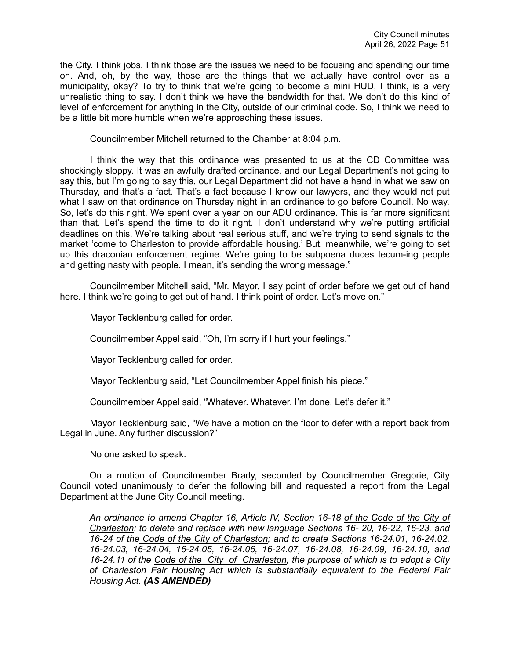the City. I think jobs. I think those are the issues we need to be focusing and spending our time on. And, oh, by the way, those are the things that we actually have control over as a municipality, okay? To try to think that we're going to become a mini HUD, I think, is a very unrealistic thing to say. I don't think we have the bandwidth for that. We don't do this kind of level of enforcement for anything in the City, outside of our criminal code. So, I think we need to be a little bit more humble when we're approaching these issues.

Councilmember Mitchell returned to the Chamber at 8:04 p.m.

I think the way that this ordinance was presented to us at the CD Committee was shockingly sloppy. It was an awfully drafted ordinance, and our Legal Department's not going to say this, but I'm going to say this, our Legal Department did not have a hand in what we saw on Thursday, and that's a fact. That's a fact because I know our lawyers, and they would not put what I saw on that ordinance on Thursday night in an ordinance to go before Council. No way. So, let's do this right. We spent over a year on our ADU ordinance. This is far more significant than that. Let's spend the time to do it right. I don't understand why we're putting artificial deadlines on this. We're talking about real serious stuff, and we're trying to send signals to the market 'come to Charleston to provide affordable housing.' But, meanwhile, we're going to set up this draconian enforcement regime. We're going to be subpoena duces tecum-ing people and getting nasty with people. I mean, it's sending the wrong message."

Councilmember Mitchell said, "Mr. Mayor, I say point of order before we get out of hand here. I think we're going to get out of hand. I think point of order. Let's move on."

Mayor Tecklenburg called for order.

Councilmember Appel said, "Oh, I'm sorry if I hurt your feelings."

Mayor Tecklenburg called for order.

Mayor Tecklenburg said, "Let Councilmember Appel finish his piece."

Councilmember Appel said, "Whatever. Whatever, I'm done. Let's defer it."

Mayor Tecklenburg said, "We have a motion on the floor to defer with a report back from Legal in June. Any further discussion?"

No one asked to speak.

On a motion of Councilmember Brady, seconded by Councilmember Gregorie, City Council voted unanimously to defer the following bill and requested a report from the Legal Department at the June City Council meeting.

*An ordinance to amend Chapter 16, Article IV, Section 16-18 of the Code of the City of Charleston; to delete and replace with new language Sections 16- 20, 16-22, 16-23, and 16-24 of the Code of the City of Charleston; and to create Sections 16-24.01, 16-24.02, 16-24.03, 16-24.04, 16-24.05, 16-24.06, 16-24.07, 16-24.08, 16-24.09, 16-24.10, and 16-24.11 of the Code of the City of Charleston, the purpose of which is to adopt a City of Charleston Fair Housing Act which is substantially equivalent to the Federal Fair Housing Act. (AS AMENDED)*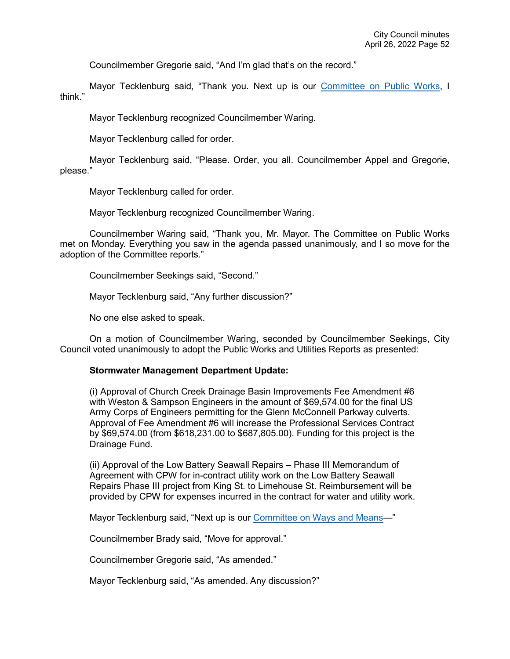Councilmember Gregorie said, "And I'm glad that's on the record."

Mayor Tecklenburg said, "Thank you. Next up is our [Committee on Public Works,](https://youtu.be/iZmTRv8HbBI?t=10782) I think."

Mayor Tecklenburg recognized Councilmember Waring.

Mayor Tecklenburg called for order.

Mayor Tecklenburg said, "Please. Order, you all. Councilmember Appel and Gregorie, please."

Mayor Tecklenburg called for order.

Mayor Tecklenburg recognized Councilmember Waring.

Councilmember Waring said, "Thank you, Mr. Mayor. The Committee on Public Works met on Monday. Everything you saw in the agenda passed unanimously, and I so move for the adoption of the Committee reports."

Councilmember Seekings said, "Second."

Mayor Tecklenburg said, "Any further discussion?"

No one else asked to speak.

On a motion of Councilmember Waring, seconded by Councilmember Seekings, City Council voted unanimously to adopt the Public Works and Utilities Reports as presented:

### **Stormwater Management Department Update:**

(i) Approval of Church Creek Drainage Basin Improvements Fee Amendment #6 with Weston & Sampson Engineers in the amount of \$69,574.00 for the final US Army Corps of Engineers permitting for the Glenn McConnell Parkway culverts. Approval of Fee Amendment #6 will increase the Professional Services Contract by \$69,574.00 (from \$618,231.00 to \$687,805.00). Funding for this project is the Drainage Fund.

(ii) Approval of the Low Battery Seawall Repairs – Phase III Memorandum of Agreement with CPW for in-contract utility work on the Low Battery Seawall Repairs Phase III project from King St. to Limehouse St. Reimbursement will be provided by CPW for expenses incurred in the contract for water and utility work.

Mayor Tecklenburg said, "Next up is our **Committee on Ways and Means-**"

Councilmember Brady said, "Move for approval."

Councilmember Gregorie said, "As amended."

Mayor Tecklenburg said, "As amended. Any discussion?"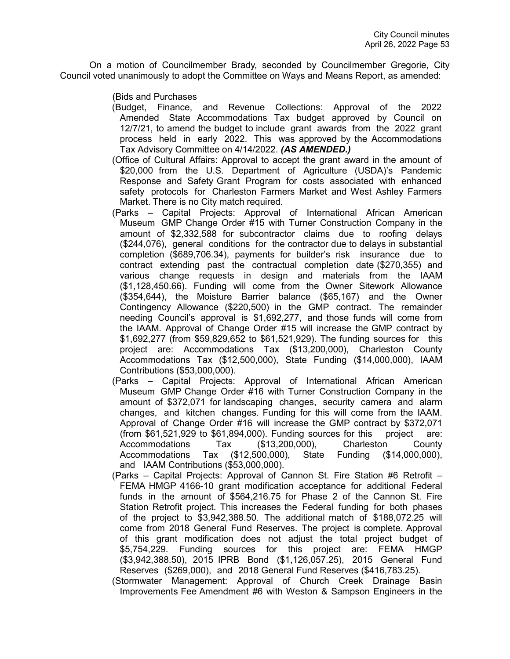On a motion of Councilmember Brady, seconded by Councilmember Gregorie, City Council voted unanimously to adopt the Committee on Ways and Means Report, as amended:

(Bids and Purchases

- (Budget, Finance, and Revenue Collections: Approval of the 2022 Amended State Accommodations Tax budget approved by Council on 12/7/21, to amend the budget to include grant awards from the 2022 grant process held in early 2022. This was approved by the Accommodations Tax Advisory Committee on 4/14/2022. *(AS AMENDED.)*
- (Office of Cultural Affairs: Approval to accept the grant award in the amount of \$20,000 from the U.S. Department of Agriculture (USDA)'s Pandemic Response and Safety Grant Program for costs associated with enhanced safety protocols for Charleston Farmers Market and West Ashley Farmers Market. There is no City match required.
- (Parks Capital Projects: Approval of International African American Museum GMP Change Order #15 with Turner Construction Company in the amount of \$2,332,588 for subcontractor claims due to roofing delays (\$244,076), general conditions for the contractor due to delays in substantial completion (\$689,706.34), payments for builder's risk insurance due to contract extending past the contractual completion date (\$270,355) and various change requests in design and materials from the IAAM (\$1,128,450.66). Funding will come from the Owner Sitework Allowance (\$354,644), the Moisture Barrier balance (\$65,167) and the Owner Contingency Allowance (\$220,500) in the GMP contract. The remainder needing Council's approval is \$1,692,277, and those funds will come from the IAAM. Approval of Change Order #15 will increase the GMP contract by \$1,692,277 (from \$59,829,652 to \$61,521,929). The funding sources for this project are: Accommodations Tax (\$13,200,000), Charleston County Accommodations Tax (\$12,500,000), State Funding (\$14,000,000), IAAM Contributions (\$53,000,000).
- (Parks Capital Projects: Approval of International African American Museum GMP Change Order #16 with Turner Construction Company in the amount of \$372,071 for landscaping changes, security camera and alarm changes, and kitchen changes. Funding for this will come from the IAAM. Approval of Change Order #16 will increase the GMP contract by \$372,071 (from  $$61,521,929$  to  $$61,894,000$ ). Funding sources for this project are: Accommodations Tax (\$13,200,000), Charleston County Accommodations Tax (\$12,500,000), State Funding (\$14,000,000), and IAAM Contributions (\$53,000,000).
- (Parks Capital Projects: Approval of Cannon St. Fire Station #6 Retrofit FEMA HMGP 4166-10 grant modification acceptance for additional Federal funds in the amount of \$564,216.75 for Phase 2 of the Cannon St. Fire Station Retrofit project. This increases the Federal funding for both phases of the project to \$3,942,388.50. The additional match of \$188,072.25 will come from 2018 General Fund Reserves. The project is complete. Approval of this grant modification does not adjust the total project budget of \$5,754,229. Funding sources for this project are: FEMA HMGP (\$3,942,388.50), 2015 IPRB Bond (\$1,126,057.25), 2015 General Fund Reserves (\$269,000), and 2018 General Fund Reserves (\$416,783.25).
- (Stormwater Management: Approval of Church Creek Drainage Basin Improvements Fee Amendment #6 with Weston & Sampson Engineers in the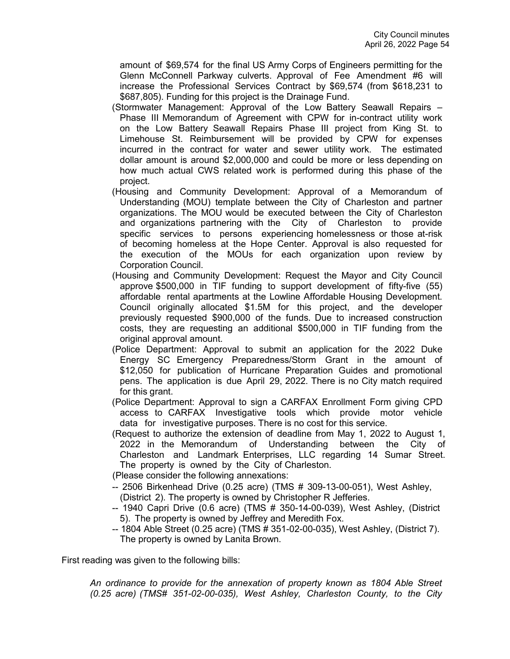amount of \$69,574 for the final US Army Corps of Engineers permitting for the Glenn McConnell Parkway culverts. Approval of Fee Amendment #6 will increase the Professional Services Contract by \$69,574 (from \$618,231 to \$687,805). Funding for this project is the Drainage Fund.

- (Stormwater Management: Approval of the Low Battery Seawall Repairs Phase III Memorandum of Agreement with CPW for in-contract utility work on the Low Battery Seawall Repairs Phase III project from King St. to Limehouse St. Reimbursement will be provided by CPW for expenses incurred in the contract for water and sewer utility work. The estimated dollar amount is around \$2,000,000 and could be more or less depending on how much actual CWS related work is performed during this phase of the project.
- (Housing and Community Development: Approval of a Memorandum of Understanding (MOU) template between the City of Charleston and partner organizations. The MOU would be executed between the City of Charleston and organizations partnering with the City of Charleston to provide specific services to persons experiencing homelessness or those at-risk of becoming homeless at the Hope Center. Approval is also requested for the execution of the MOUs for each organization upon review by Corporation Council.
- (Housing and Community Development: Request the Mayor and City Council approve \$500,000 in TIF funding to support development of fifty-five (55) affordable rental apartments at the Lowline Affordable Housing Development. Council originally allocated \$1.5M for this project, and the developer previously requested \$900,000 of the funds. Due to increased construction costs, they are requesting an additional \$500,000 in TIF funding from the original approval amount.
- (Police Department: Approval to submit an application for the 2022 Duke Energy SC Emergency Preparedness/Storm Grant in the amount of \$12,050 for publication of Hurricane Preparation Guides and promotional pens. The application is due April 29, 2022. There is no City match required for this grant.
- (Police Department: Approval to sign a CARFAX Enrollment Form giving CPD access to CARFAX Investigative tools which provide motor vehicle data for investigative purposes. There is no cost for this service.
- (Request to authorize the extension of deadline from May 1, 2022 to August 1, 2022 in the Memorandum of Understanding between the City of Charleston and Landmark Enterprises, LLC regarding 14 Sumar Street. The property is owned by the City of Charleston.
- (Please consider the following annexations:
- -- 2506 Birkenhead Drive (0.25 acre) (TMS # 309-13-00-051), West Ashley, (District 2). The property is owned by Christopher R Jefferies.
- -- 1940 Capri Drive (0.6 acre) (TMS # 350-14-00-039), West Ashley, (District 5). The property is owned by Jeffrey and Meredith Fox.
- -- 1804 Able Street (0.25 acre) (TMS # 351-02-00-035), West Ashley, (District 7). The property is owned by Lanita Brown.

First reading was given to the following bills:

*An ordinance to provide for the annexation of property known as 1804 Able Street (0.25 acre) (TMS# 351-02-00-035), West Ashley, Charleston County, to the City*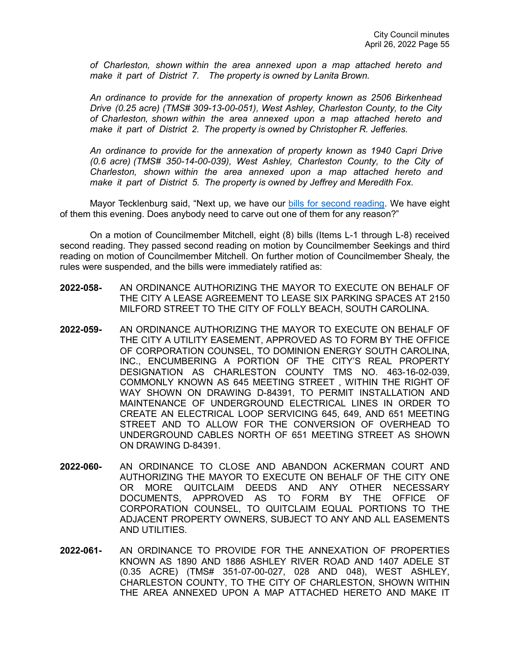*of Charleston, shown within the area annexed upon a map attached hereto and make it part of District 7. The property is owned by Lanita Brown.*

*An ordinance to provide for the annexation of property known as 2506 Birkenhead Drive (0.25 acre) (TMS# 309-13-00-051), West Ashley, Charleston County, to the City of Charleston, shown within the area annexed upon a map attached hereto and make it part of District 2. The property is owned by Christopher R. Jefferies.*

*An ordinance to provide for the annexation of property known as 1940 Capri Drive (0.6 acre) (TMS# 350-14-00-039), West Ashley, Charleston County, to the City of Charleston, shown within the area annexed upon a map attached hereto and make it part of District 5. The property is owned by Jeffrey and Meredith Fox.*

Mayor Tecklenburg said, "Next up, we have our [bills for second reading.](https://youtu.be/iZmTRv8HbBI?t=10841) We have eight of them this evening. Does anybody need to carve out one of them for any reason?"

On a motion of Councilmember Mitchell, eight (8) bills (Items L-1 through L-8) received second reading. They passed second reading on motion by Councilmember Seekings and third reading on motion of Councilmember Mitchell. On further motion of Councilmember Shealy, the rules were suspended, and the bills were immediately ratified as:

- **2022-058-** AN ORDINANCE AUTHORIZING THE MAYOR TO EXECUTE ON BEHALF OF THE CITY A LEASE AGREEMENT TO LEASE SIX PARKING SPACES AT 2150 MILFORD STREET TO THE CITY OF FOLLY BEACH, SOUTH CAROLINA.
- **2022-059-** AN ORDINANCE AUTHORIZING THE MAYOR TO EXECUTE ON BEHALF OF THE CITY A UTILITY EASEMENT, APPROVED AS TO FORM BY THE OFFICE OF CORPORATION COUNSEL, TO DOMINION ENERGY SOUTH CAROLINA, INC., ENCUMBERING A PORTION OF THE CITY'S REAL PROPERTY DESIGNATION AS CHARLESTON COUNTY TMS NO. 463-16-02-039, COMMONLY KNOWN AS 645 MEETING STREET , WITHIN THE RIGHT OF WAY SHOWN ON DRAWING D-84391, TO PERMIT INSTALLATION AND MAINTENANCE OF UNDERGROUND ELECTRICAL LINES IN ORDER TO CREATE AN ELECTRICAL LOOP SERVICING 645, 649, AND 651 MEETING STREET AND TO ALLOW FOR THE CONVERSION OF OVERHEAD TO UNDERGROUND CABLES NORTH OF 651 MEETING STREET AS SHOWN ON DRAWING D-84391.
- **2022-060-** AN ORDINANCE TO CLOSE AND ABANDON ACKERMAN COURT AND AUTHORIZING THE MAYOR TO EXECUTE ON BEHALF OF THE CITY ONE OR MORE QUITCLAIM DEEDS AND ANY OTHER NECESSARY DOCUMENTS, APPROVED AS TO FORM BY THE OFFICE OF CORPORATION COUNSEL, TO QUITCLAIM EQUAL PORTIONS TO THE ADJACENT PROPERTY OWNERS, SUBJECT TO ANY AND ALL EASEMENTS AND UTILITIES.
- **2022-061-** AN ORDINANCE TO PROVIDE FOR THE ANNEXATION OF PROPERTIES KNOWN AS 1890 AND 1886 ASHLEY RIVER ROAD AND 1407 ADELE ST (0.35 ACRE) (TMS# 351-07-00-027, 028 AND 048), WEST ASHLEY, CHARLESTON COUNTY, TO THE CITY OF CHARLESTON, SHOWN WITHIN THE AREA ANNEXED UPON A MAP ATTACHED HERETO AND MAKE IT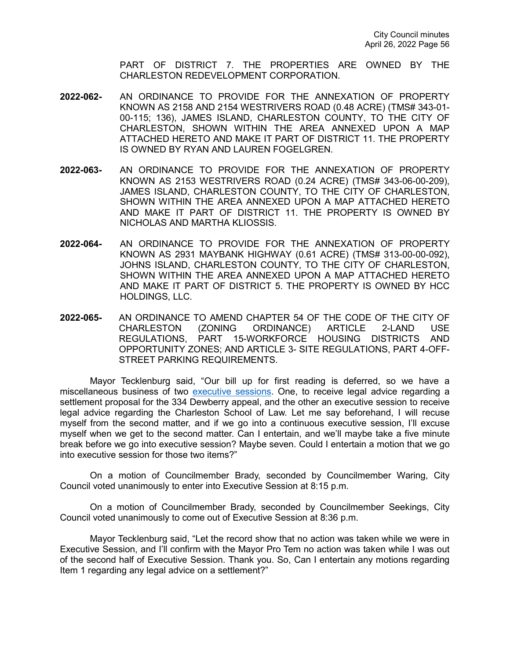PART OF DISTRICT 7. THE PROPERTIES ARE OWNED BY THE CHARLESTON REDEVELOPMENT CORPORATION.

- **2022-062-** AN ORDINANCE TO PROVIDE FOR THE ANNEXATION OF PROPERTY KNOWN AS 2158 AND 2154 WESTRIVERS ROAD (0.48 ACRE) (TMS# 343-01- 00-115; 136), JAMES ISLAND, CHARLESTON COUNTY, TO THE CITY OF CHARLESTON, SHOWN WITHIN THE AREA ANNEXED UPON A MAP ATTACHED HERETO AND MAKE IT PART OF DISTRICT 11. THE PROPERTY IS OWNED BY RYAN AND LAUREN FOGELGREN.
- **2022-063-** AN ORDINANCE TO PROVIDE FOR THE ANNEXATION OF PROPERTY KNOWN AS 2153 WESTRIVERS ROAD (0.24 ACRE) (TMS# 343-06-00-209), JAMES ISLAND, CHARLESTON COUNTY, TO THE CITY OF CHARLESTON, SHOWN WITHIN THE AREA ANNEXED UPON A MAP ATTACHED HERETO AND MAKE IT PART OF DISTRICT 11. THE PROPERTY IS OWNED BY NICHOLAS AND MARTHA KLIOSSIS.
- **2022-064-** AN ORDINANCE TO PROVIDE FOR THE ANNEXATION OF PROPERTY KNOWN AS 2931 MAYBANK HIGHWAY (0.61 ACRE) (TMS# 313-00-00-092), JOHNS ISLAND, CHARLESTON COUNTY, TO THE CITY OF CHARLESTON, SHOWN WITHIN THE AREA ANNEXED UPON A MAP ATTACHED HERETO AND MAKE IT PART OF DISTRICT 5. THE PROPERTY IS OWNED BY HCC HOLDINGS, LLC.
- **2022-065-** AN ORDINANCE TO AMEND CHAPTER 54 OF THE CODE OF THE CITY OF CHARLESTON (ZONING ORDINANCE) ARTICLE 2-LAND USE REGULATIONS, PART 15-WORKFORCE HOUSING DISTRICTS OPPORTUNITY ZONES; AND ARTICLE 3- SITE REGULATIONS, PART 4-OFF-STREET PARKING REQUIREMENTS.

Mayor Tecklenburg said, "Our bill up for first reading is deferred, so we have a miscellaneous business of two [executive sessions.](https://youtu.be/iZmTRv8HbBI?t=10875) One, to receive legal advice regarding a settlement proposal for the 334 Dewberry appeal, and the other an executive session to receive legal advice regarding the Charleston School of Law. Let me say beforehand, I will recuse myself from the second matter, and if we go into a continuous executive session, I'll excuse myself when we get to the second matter. Can I entertain, and we'll maybe take a five minute break before we go into executive session? Maybe seven. Could I entertain a motion that we go into executive session for those two items?"

On a motion of Councilmember Brady, seconded by Councilmember Waring, City Council voted unanimously to enter into Executive Session at 8:15 p.m.

On a motion of Councilmember Brady, seconded by Councilmember Seekings, City Council voted unanimously to come out of Executive Session at 8:36 p.m.

Mayor Tecklenburg said, "Let the record show that no action was taken while we were in Executive Session, and I'll confirm with the Mayor Pro Tem no action was taken while I was out of the second half of Executive Session. Thank you. So, Can I entertain any motions regarding Item 1 regarding any legal advice on a settlement?"